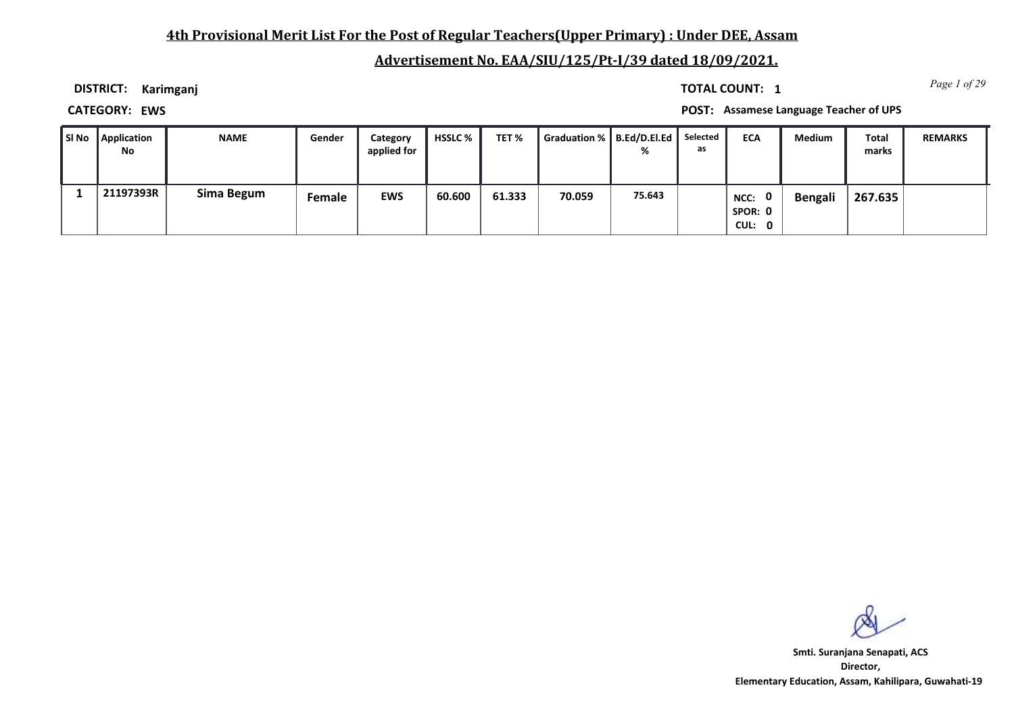# **4th Provisional Merit List For the Post of Regular Teachers(Upper Primary) : Under DEE, Assam**

# **Advertisement No. EAA/SIU/125/Pt-I/39 dated 18/09/2021.**

**DISTRICT: Karimganj**

*Page 1 of 29* **TOTAL COUNT: 1**

**CATEGORY: EWS POST: Assamese Language Teacher of UPS**

| SI No Application<br>No | <b>NAME</b> | Gender | Category<br>applied for | <b>HSSLC</b> % | TET %  | Graduation %   B.Ed/D.El.Ed | %      | Selected<br>as | <b>ECA</b>                     | Medium         | Total<br>marks | <b>REMARKS</b> |
|-------------------------|-------------|--------|-------------------------|----------------|--------|-----------------------------|--------|----------------|--------------------------------|----------------|----------------|----------------|
| 21197393R               | Sima Begum  | Female | <b>EWS</b>              | 60.600         | 61.333 | 70.059                      | 75.643 |                | 0<br>NCC:<br>SPOR: 0<br>CUL: 0 | <b>Bengali</b> | 267.635        |                |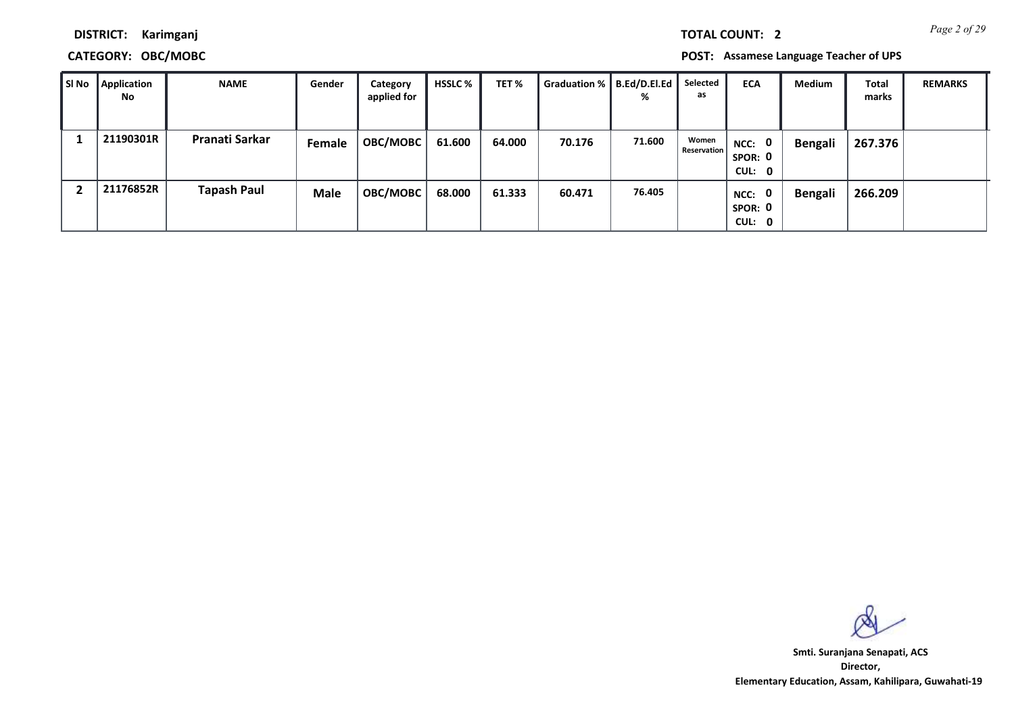*Page 2 of 29* **TOTAL COUNT: 2**

**DISTRICT: Karimganj**

**CATEGORY: OBC/MOBC POST: Assamese Language Teacher of UPS**

| l SI No | Application<br>No | <b>NAME</b>        | Gender | Category<br>applied for | <b>HSSLC</b> % | TET %  | Graduation %   B.Ed/D.El.Ed | %      | Selected<br>as              | <b>ECA</b>                               | <b>Medium</b>  | Total<br>marks | <b>REMARKS</b> |
|---------|-------------------|--------------------|--------|-------------------------|----------------|--------|-----------------------------|--------|-----------------------------|------------------------------------------|----------------|----------------|----------------|
|         | 21190301R         | Pranati Sarkar     | Female | OBC/MOBC                | 61.600         | 64.000 | 70.176                      | 71.600 | Women<br><b>Reservation</b> | NCC: 0<br>SPOR: 0<br>CUL: 0              | Bengali        | 267.376        |                |
|         | 21176852R         | <b>Tapash Paul</b> | Male   | <b>OBC/MOBC</b>         | 68.000         | 61.333 | 60.471                      | 76.405 |                             | $\mathbf 0$<br>NCC:<br>SPOR: 0<br>CUL: 0 | <b>Bengali</b> | 266.209        |                |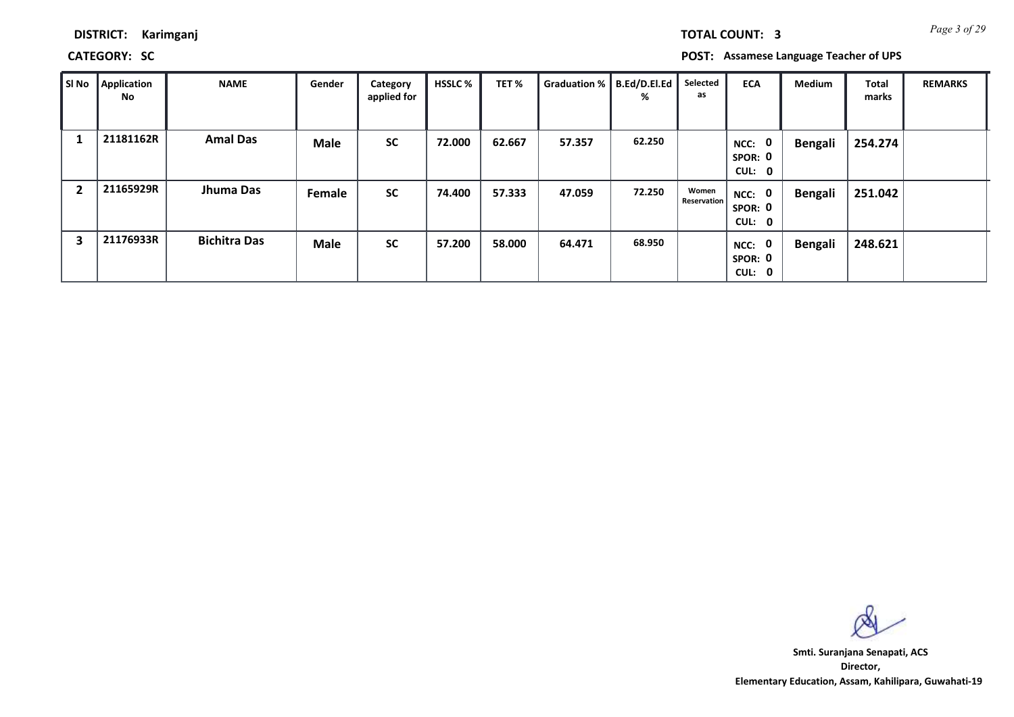### **DISTRICT: Karimganj**

**CATEGORY: SC POST: Assamese Language Teacher of UPS**

| SI No | <b>Application</b><br>No | <b>NAME</b>         | Gender      | Category<br>applied for | <b>HSSLC %</b> | TET%   | Graduation %   B.Ed/D.El.Ed | %      | Selected<br>as       | <b>ECA</b>                     | <b>Medium</b>  | Total<br>marks | <b>REMARKS</b> |
|-------|--------------------------|---------------------|-------------|-------------------------|----------------|--------|-----------------------------|--------|----------------------|--------------------------------|----------------|----------------|----------------|
|       | 21181162R                | <b>Amal Das</b>     | <b>Male</b> | <b>SC</b>               | 72.000         | 62.667 | 57.357                      | 62.250 |                      | 0<br>NCC:<br>SPOR: 0<br>CUL: 0 | <b>Bengali</b> | 254.274        |                |
| 2     | 21165929R                | Jhuma Das           | Female      | <b>SC</b>               | 74.400         | 57.333 | 47.059                      | 72.250 | Women<br>Reservation | NCC: 0<br>SPOR: 0<br>CUL: 0    | <b>Bengali</b> | 251.042        |                |
| 3     | 21176933R                | <b>Bichitra Das</b> | <b>Male</b> | <b>SC</b>               | 57.200         | 58.000 | 64.471                      | 68.950 |                      | 0<br>NCC:<br>SPOR: 0<br>CUL: 0 | <b>Bengali</b> | 248.621        |                |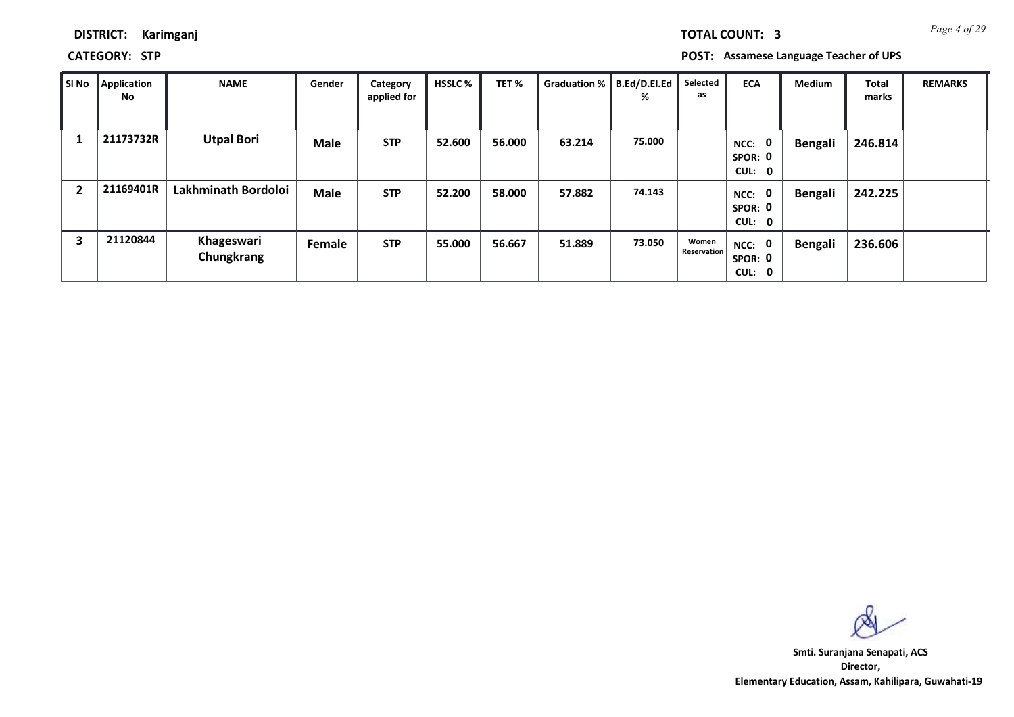**CATEGORY: STP POST: Assamese Language Teacher of UPS**

| SI No          | Application<br>No | <b>NAME</b>              | Gender      | Category<br>applied for | <b>HSSLC %</b> | TET %  | Graduation %   B.Ed/D.El.Ed | %      | Selected<br>as              | <b>ECA</b>                       | <b>Medium</b>  | Total<br>marks | <b>REMARKS</b> |
|----------------|-------------------|--------------------------|-------------|-------------------------|----------------|--------|-----------------------------|--------|-----------------------------|----------------------------------|----------------|----------------|----------------|
|                | 21173732R         | <b>Utpal Bori</b>        | <b>Male</b> | <b>STP</b>              | 52.600         | 56.000 | 63.214                      | 75.000 |                             | NCC: 0<br>SPOR: 0<br>CUL: 0      | <b>Bengali</b> | 246.814        |                |
| $\overline{2}$ | 21169401R         | Lakhminath Bordoloi      | <b>Male</b> | <b>STP</b>              | 52.200         | 58.000 | 57.882                      | 74.143 |                             | - 0<br>NCC:<br>SPOR: 0<br>CUL: 0 | <b>Bengali</b> | 242.225        |                |
| 3              | 21120844          | Khageswari<br>Chungkrang | Female      | <b>STP</b>              | 55.000         | 56.667 | 51.889                      | 73.050 | Women<br><b>Reservation</b> | NCC: 0<br>SPOR: 0<br>CUL: 0      | <b>Bengali</b> | 236.606        |                |

**Director, Elementary Education, Assam, Kahilipara, Guwahati-19 Smti. Suranjana Senapati, ACS**

*Page 4 of 29* **TOTAL COUNT: 3**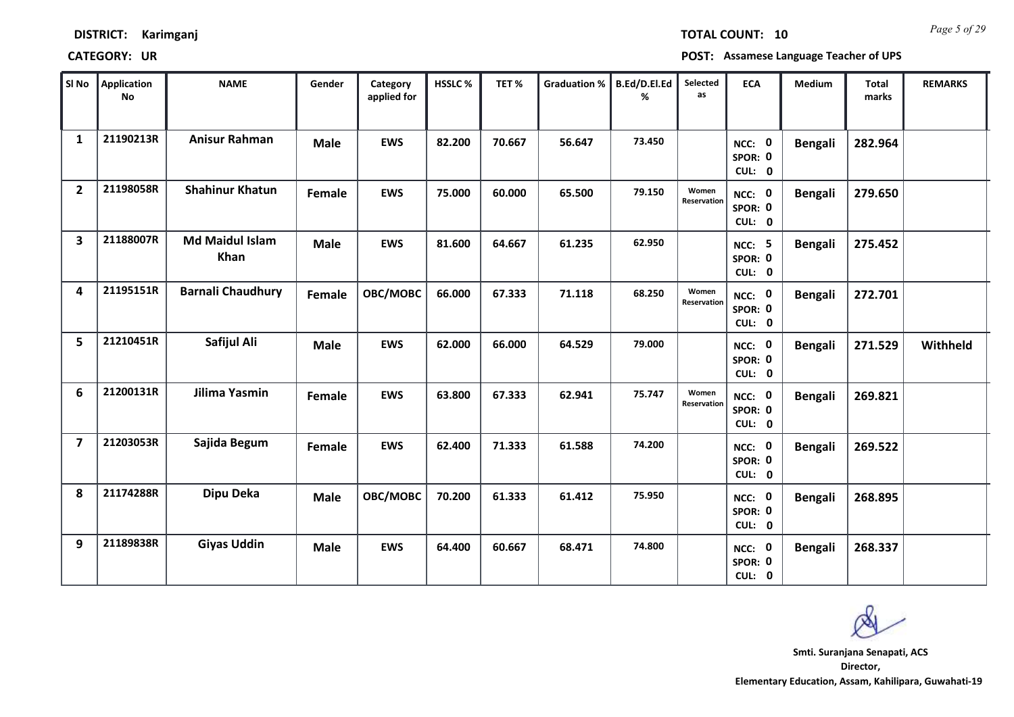| SI No                   | <b>Application</b><br>No | <b>NAME</b>                    | Gender      | Category<br>applied for | HSSLC% | TET%   | Graduation % | B.Ed/D.El.Ed<br>% | Selected<br>as       | <b>ECA</b>                         | Medium         | Total<br>marks | <b>REMARKS</b> |
|-------------------------|--------------------------|--------------------------------|-------------|-------------------------|--------|--------|--------------|-------------------|----------------------|------------------------------------|----------------|----------------|----------------|
| 1                       | 21190213R                | <b>Anisur Rahman</b>           | <b>Male</b> | <b>EWS</b>              | 82.200 | 70.667 | 56.647       | 73.450            |                      | NCC: 0<br>SPOR: 0<br>CUL: 0        | <b>Bengali</b> | 282.964        |                |
| $\overline{2}$          | 21198058R                | <b>Shahinur Khatun</b>         | Female      | <b>EWS</b>              | 75.000 | 60.000 | 65.500       | 79.150            | Women<br>Reservation | NCC: 0<br>SPOR: 0<br>CUL: 0        | <b>Bengali</b> | 279.650        |                |
| $\overline{\mathbf{3}}$ | 21188007R                | <b>Md Maidul Islam</b><br>Khan | <b>Male</b> | <b>EWS</b>              | 81.600 | 64.667 | 61.235       | 62.950            |                      | <b>NCC: 5</b><br>SPOR: 0<br>CUL: 0 | <b>Bengali</b> | 275.452        |                |
| 4                       | 21195151R                | <b>Barnali Chaudhury</b>       | Female      | OBC/MOBC                | 66.000 | 67.333 | 71.118       | 68.250            | Women<br>Reservation | NCC: 0<br>SPOR: 0<br>CUL: 0        | <b>Bengali</b> | 272.701        |                |
| 5                       | 21210451R                | Safijul Ali                    | <b>Male</b> | <b>EWS</b>              | 62.000 | 66.000 | 64.529       | 79.000            |                      | NCC: 0<br>SPOR: 0<br>CUL: 0        | <b>Bengali</b> | 271.529        | Withheld       |
| 6                       | 21200131R                | Jilima Yasmin                  | Female      | <b>EWS</b>              | 63.800 | 67.333 | 62.941       | 75.747            | Women<br>Reservation | NCC: 0<br>SPOR: 0<br>CUL: 0        | <b>Bengali</b> | 269.821        |                |
| $\overline{\mathbf{z}}$ | 21203053R                | Sajida Begum                   | Female      | <b>EWS</b>              | 62.400 | 71.333 | 61.588       | 74.200            |                      | NCC: 0<br>SPOR: 0<br>CUL: 0        | <b>Bengali</b> | 269.522        |                |
| 8                       | 21174288R                | Dipu Deka                      | <b>Male</b> | OBC/MOBC                | 70.200 | 61.333 | 61.412       | 75.950            |                      | NCC: 0<br>SPOR: 0<br>CUL: 0        | <b>Bengali</b> | 268.895        |                |
| 9                       | 21189838R                | <b>Giyas Uddin</b>             | <b>Male</b> | <b>EWS</b>              | 64.400 | 60.667 | 68.471       | 74.800            |                      | NCC: 0<br>SPOR: 0<br>CUL: 0        | <b>Bengali</b> | 268.337        |                |

**DISTRICT: Karimganj**

### **CATEGORY: UR POST: Assamese Language Teacher of UPS**

*Page 5 of 29* **TOTAL COUNT: 10**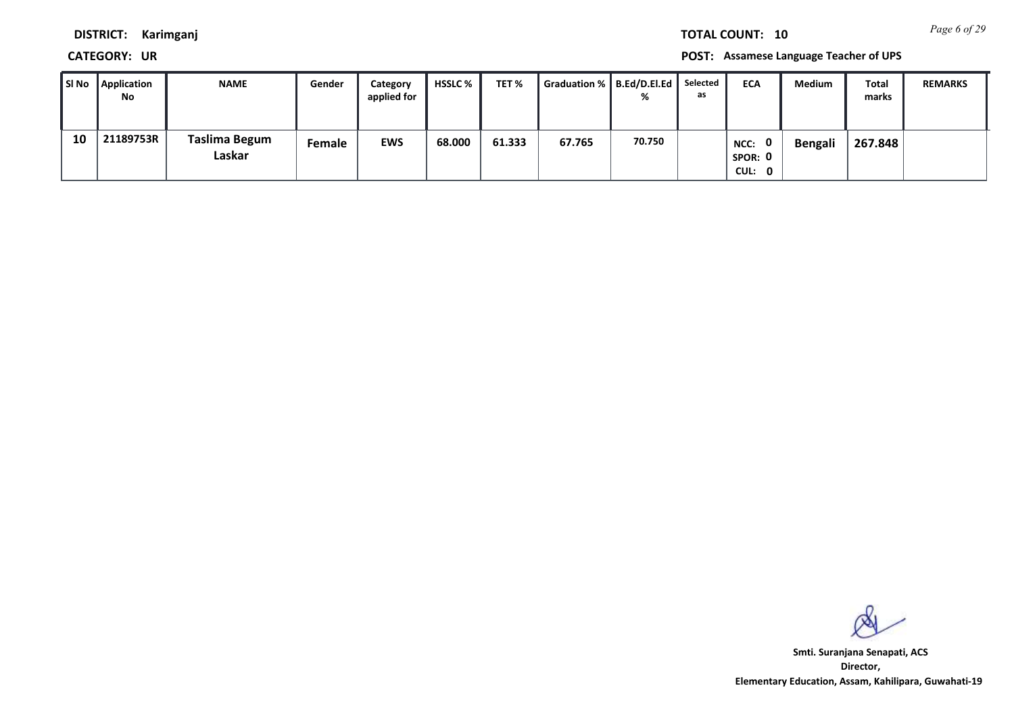*Page 6 of 29* **TOTAL COUNT: 10**

**DISTRICT: Karimganj**

**CATEGORY: UR POST: Assamese Language Teacher of UPS**

| ∥ SI No | <b>Application</b><br>No | <b>NAME</b>             | Gender        | Category<br>applied for | <b>HSSLC</b> % | TET %  | Graduation %    B.Ed/D.El.Ed | %      | Selected<br>as | <b>ECA</b>                     | <b>Medium</b>  | Total<br>marks | <b>REMARKS</b> |
|---------|--------------------------|-------------------------|---------------|-------------------------|----------------|--------|------------------------------|--------|----------------|--------------------------------|----------------|----------------|----------------|
| 10      | 21189753R                | Taslima Begum<br>Laskar | <b>Female</b> | <b>EWS</b>              | 68.000         | 61.333 | 67.765                       | 70.750 |                | 0<br>NCC:<br>SPOR: 0<br>CUL: 0 | <b>Bengali</b> | 267.848        |                |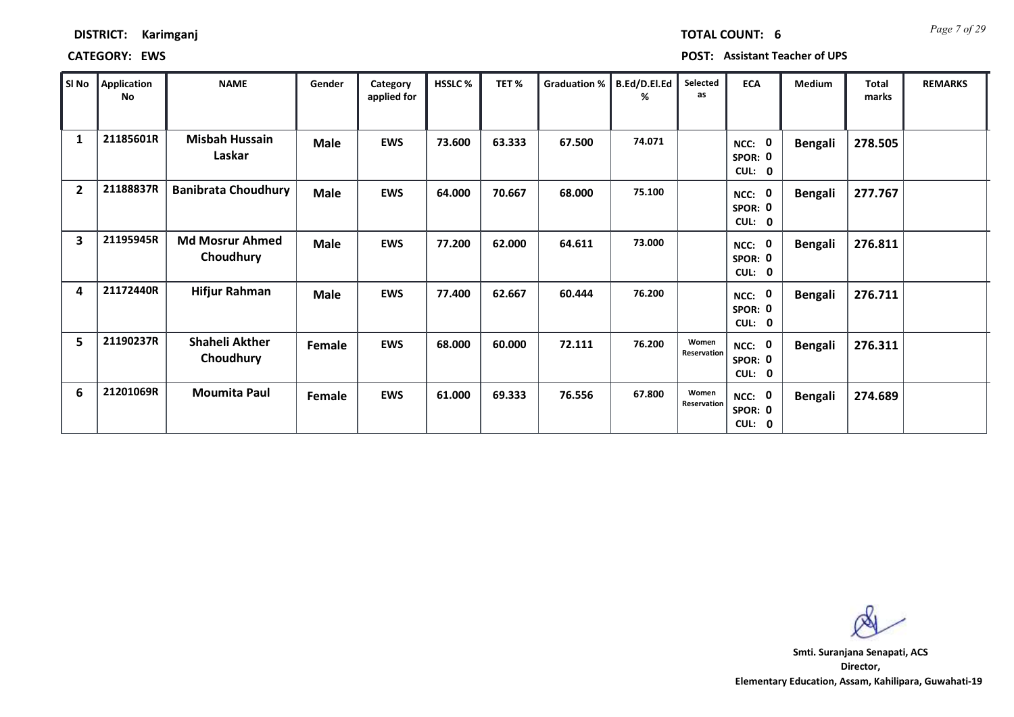**CATEGORY: EWS POST: Assistant Teacher of UPS**

| SI No          | <b>Application</b><br>No | <b>NAME</b>                         | Gender      | Category<br>applied for | HSSLC% | TET%   | <b>Graduation %</b> | B.Ed/D.El.Ed<br>℅ | Selected<br>as       | <b>ECA</b>                                | <b>Medium</b>  | <b>Total</b><br>marks | <b>REMARKS</b> |
|----------------|--------------------------|-------------------------------------|-------------|-------------------------|--------|--------|---------------------|-------------------|----------------------|-------------------------------------------|----------------|-----------------------|----------------|
| 1              | 21185601R                | <b>Misbah Hussain</b><br>Laskar     | <b>Male</b> | <b>EWS</b>              | 73.600 | 63.333 | 67.500              | 74.071            |                      | 0<br>NCC:<br>SPOR: 0<br>CUL: 0            | <b>Bengali</b> | 278.505               |                |
| $\overline{2}$ | 21188837R                | <b>Banibrata Choudhury</b>          | <b>Male</b> | <b>EWS</b>              | 64.000 | 70.667 | 68.000              | 75.100            |                      | - 0<br>NCC:<br>SPOR: 0<br>CUL: 0          | <b>Bengali</b> | 277.767               |                |
| 3              | 21195945R                | <b>Md Mosrur Ahmed</b><br>Choudhury | <b>Male</b> | <b>EWS</b>              | 77.200 | 62.000 | 64.611              | 73.000            |                      | $\mathbf{0}$<br>NCC:<br>SPOR: 0<br>CUL: 0 | <b>Bengali</b> | 276.811               |                |
| 4              | 21172440R                | <b>Hifjur Rahman</b>                | <b>Male</b> | <b>EWS</b>              | 77.400 | 62.667 | 60.444              | 76.200            |                      | 0<br>NCC:<br>SPOR: 0<br>CUL: 0            | <b>Bengali</b> | 276.711               |                |
| 5              | 21190237R                | Shaheli Akther<br>Choudhury         | Female      | <b>EWS</b>              | 68.000 | 60.000 | 72.111              | 76.200            | Women<br>Reservation | - 0<br>NCC:<br>SPOR: 0<br>CUL: 0          | <b>Bengali</b> | 276.311               |                |
| 6              | 21201069R                | <b>Moumita Paul</b>                 | Female      | <b>EWS</b>              | 61.000 | 69.333 | 76.556              | 67.800            | Women<br>Reservation | NCC: 0<br>SPOR: 0<br>CUL: 0               | <b>Bengali</b> | 274.689               |                |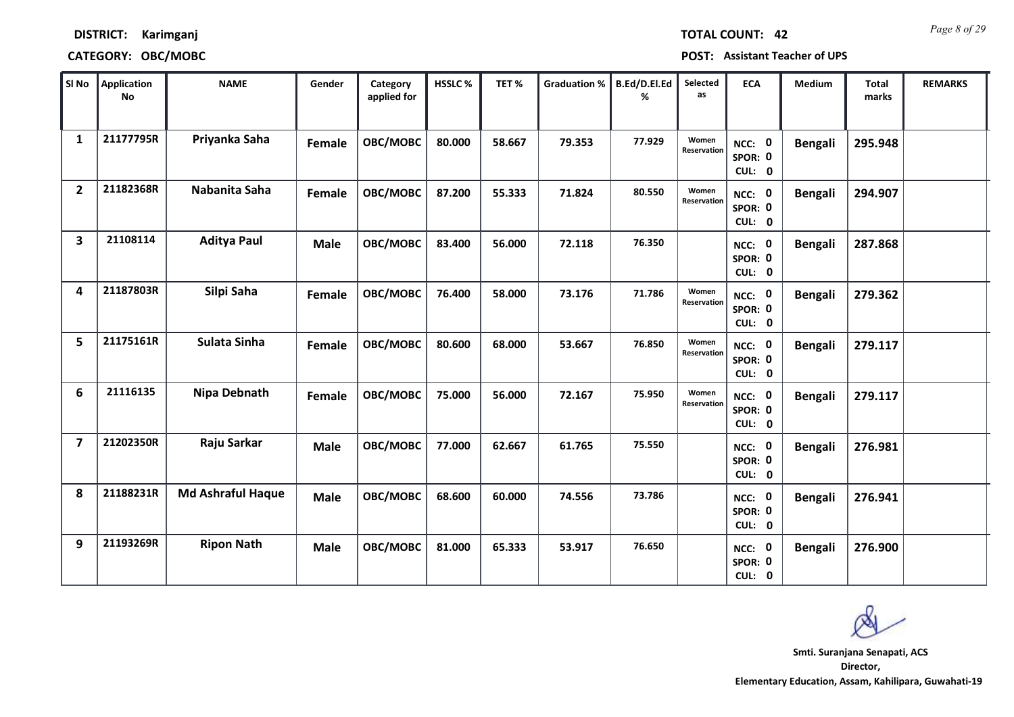| <b>DISTRICT:</b> | Karimganj |
|------------------|-----------|
|------------------|-----------|

| SI No                   | <b>Application</b><br><b>No</b> | <b>NAME</b>              | Gender      | Category<br>applied for | HSSLC% | TET%   | <b>Graduation %</b> | B.Ed/D.El.Ed<br>% | Selected<br>as       | <b>ECA</b>                         | <b>Medium</b>  | <b>Total</b><br>marks | <b>REMARKS</b> |
|-------------------------|---------------------------------|--------------------------|-------------|-------------------------|--------|--------|---------------------|-------------------|----------------------|------------------------------------|----------------|-----------------------|----------------|
| 1                       | 21177795R                       | Priyanka Saha            | Female      | OBC/MOBC                | 80.000 | 58.667 | 79.353              | 77.929            | Women<br>Reservation | NCC: 0<br>SPOR: 0<br>CUL: 0        | <b>Bengali</b> | 295.948               |                |
| $\overline{2}$          | 21182368R                       | Nabanita Saha            | Female      | OBC/MOBC                | 87.200 | 55.333 | 71.824              | 80.550            | Women<br>Reservation | NCC: 0<br>SPOR: 0<br>CUL: 0        | <b>Bengali</b> | 294.907               |                |
| $\overline{\mathbf{3}}$ | 21108114                        | <b>Aditya Paul</b>       | <b>Male</b> | OBC/MOBC                | 83.400 | 56.000 | 72.118              | 76.350            |                      | NCC: 0<br>SPOR: 0<br>CUL: 0        | <b>Bengali</b> | 287.868               |                |
| 4                       | 21187803R                       | Silpi Saha               | Female      | OBC/MOBC                | 76.400 | 58.000 | 73.176              | 71.786            | Women<br>Reservation | NCC: 0<br>SPOR: 0<br>CUL: 0        | <b>Bengali</b> | 279.362               |                |
| 5                       | 21175161R                       | Sulata Sinha             | Female      | OBC/MOBC                | 80.600 | 68.000 | 53.667              | 76.850            | Women<br>Reservation | NCC: 0<br>SPOR: 0<br>CUL: 0        | <b>Bengali</b> | 279.117               |                |
| 6                       | 21116135                        | Nipa Debnath             | Female      | OBC/MOBC                | 75.000 | 56.000 | 72.167              | 75.950            | Women<br>Reservation | NCC: 0<br>SPOR: 0<br>CUL: 0        | <b>Bengali</b> | 279.117               |                |
| $\overline{7}$          | 21202350R                       | Raju Sarkar              | <b>Male</b> | OBC/MOBC                | 77.000 | 62.667 | 61.765              | 75.550            |                      | NCC: 0<br>SPOR: 0<br>CUL: 0        | <b>Bengali</b> | 276.981               |                |
| 8                       | 21188231R                       | <b>Md Ashraful Haque</b> | <b>Male</b> | OBC/MOBC                | 68.600 | 60.000 | 74.556              | 73.786            |                      | <b>NCC: 0</b><br>SPOR: 0<br>CUL: 0 | <b>Bengali</b> | 276.941               |                |
| 9                       | 21193269R                       | <b>Ripon Nath</b>        | <b>Male</b> | OBC/MOBC                | 81.000 | 65.333 | 53.917              | 76.650            |                      | NCC: 0<br>SPOR: 0<br>CUL: 0        | <b>Bengali</b> | 276.900               |                |

**Director, Elementary Education, Assam, Kahilipara, Guwahati-19 Smti. Suranjana Senapati, ACS**

*Page 8 of 29* **TOTAL COUNT: 42**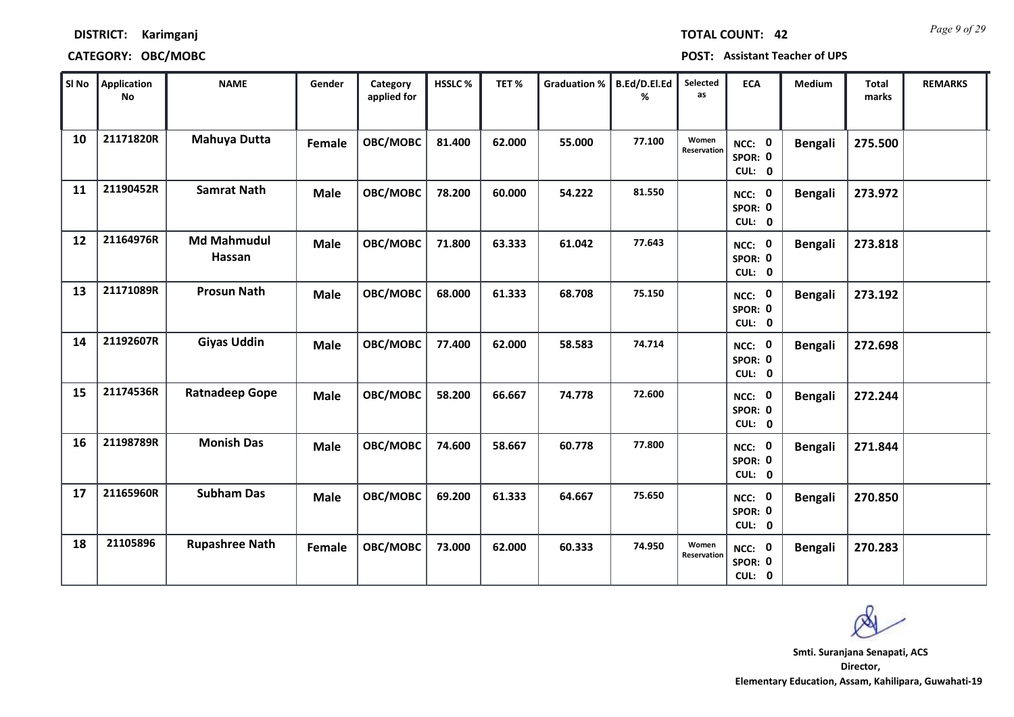| <b>DISTRICT:</b> | Karimganj |
|------------------|-----------|
|------------------|-----------|

| SI No | Application<br><b>No</b> | <b>NAME</b>                  | Gender      | Category<br>applied for | <b>HSSLC%</b> | TET%   | <b>Graduation %</b> | B.Ed/D.El.Ed<br>℅ | Selected<br>as       | <b>ECA</b>                  | <b>Medium</b>  | <b>Total</b><br>marks | <b>REMARKS</b> |
|-------|--------------------------|------------------------------|-------------|-------------------------|---------------|--------|---------------------|-------------------|----------------------|-----------------------------|----------------|-----------------------|----------------|
| 10    | 21171820R                | Mahuya Dutta                 | Female      | OBC/MOBC                | 81.400        | 62.000 | 55.000              | 77.100            | Women<br>Reservation | NCC: 0<br>SPOR: 0<br>CUL: 0 | Bengali        | 275.500               |                |
| 11    | 21190452R                | <b>Samrat Nath</b>           | <b>Male</b> | OBC/MOBC                | 78.200        | 60.000 | 54.222              | 81.550            |                      | NCC: 0<br>SPOR: 0<br>CUL: 0 | <b>Bengali</b> | 273.972               |                |
| 12    | 21164976R                | <b>Md Mahmudul</b><br>Hassan | <b>Male</b> | OBC/MOBC                | 71.800        | 63.333 | 61.042              | 77.643            |                      | NCC: 0<br>SPOR: 0<br>CUL: 0 | <b>Bengali</b> | 273.818               |                |
| 13    | 21171089R                | <b>Prosun Nath</b>           | <b>Male</b> | OBC/MOBC                | 68.000        | 61.333 | 68.708              | 75.150            |                      | NCC: 0<br>SPOR: 0<br>CUL: 0 | Bengali        | 273.192               |                |
| 14    | 21192607R                | <b>Giyas Uddin</b>           | <b>Male</b> | OBC/MOBC                | 77.400        | 62.000 | 58.583              | 74.714            |                      | NCC: 0<br>SPOR: 0<br>CUL: 0 | <b>Bengali</b> | 272.698               |                |
| 15    | 21174536R                | <b>Ratnadeep Gope</b>        | <b>Male</b> | OBC/MOBC                | 58.200        | 66.667 | 74.778              | 72.600            |                      | NCC: 0<br>SPOR: 0<br>CUL: 0 | <b>Bengali</b> | 272.244               |                |
| 16    | 21198789R                | <b>Monish Das</b>            | <b>Male</b> | OBC/MOBC                | 74.600        | 58.667 | 60.778              | 77.800            |                      | NCC: 0<br>SPOR: 0<br>CUL: 0 | <b>Bengali</b> | 271.844               |                |
| 17    | 21165960R                | <b>Subham Das</b>            | <b>Male</b> | OBC/MOBC                | 69.200        | 61.333 | 64.667              | 75.650            |                      | NCC: 0<br>SPOR: 0<br>CUL: 0 | <b>Bengali</b> | 270.850               |                |
| 18    | 21105896                 | <b>Rupashree Nath</b>        | Female      | OBC/MOBC                | 73.000        | 62.000 | 60.333              | 74.950            | Women<br>Reservation | NCC: 0<br>SPOR: 0<br>CUL: 0 | Bengali        | 270.283               |                |

*Page 9 of 29* **TOTAL COUNT: 42**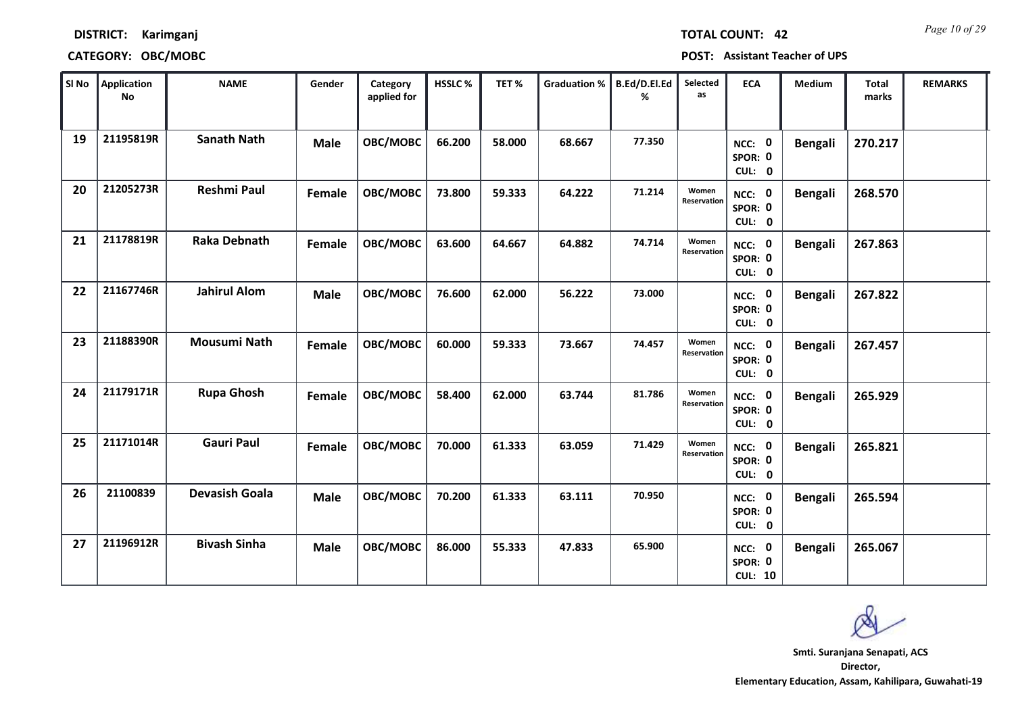| <b>DISTRICT:</b> | Karimganj |
|------------------|-----------|
|------------------|-----------|

| Sl No | Application<br><b>No</b> | <b>NAME</b>           | Gender        | Category<br>applied for | <b>HSSLC %</b> | TET%   | <b>Graduation %</b> | B.Ed/D.El.Ed<br>% | Selected<br>as       | <b>ECA</b>                          | <b>Medium</b>  | <b>Total</b><br>marks | <b>REMARKS</b> |
|-------|--------------------------|-----------------------|---------------|-------------------------|----------------|--------|---------------------|-------------------|----------------------|-------------------------------------|----------------|-----------------------|----------------|
| 19    | 21195819R                | <b>Sanath Nath</b>    | <b>Male</b>   | OBC/MOBC                | 66.200         | 58.000 | 68.667              | 77.350            |                      | NCC: 0<br>SPOR: 0<br>CUL: 0         | <b>Bengali</b> | 270.217               |                |
| 20    | 21205273R                | <b>Reshmi Paul</b>    | Female        | OBC/MOBC                | 73.800         | 59.333 | 64.222              | 71.214            | Women<br>Reservation | NCC: 0<br>SPOR: 0<br>CUL: 0         | <b>Bengali</b> | 268.570               |                |
| 21    | 21178819R                | <b>Raka Debnath</b>   | Female        | OBC/MOBC                | 63.600         | 64.667 | 64.882              | 74.714            | Women<br>Reservation | NCC: 0<br>SPOR: 0<br>CUL: 0         | <b>Bengali</b> | 267.863               |                |
| 22    | 21167746R                | <b>Jahirul Alom</b>   | <b>Male</b>   | OBC/MOBC                | 76.600         | 62.000 | 56.222              | 73.000            |                      | NCC: 0<br>SPOR: 0<br>CUL: 0         | <b>Bengali</b> | 267.822               |                |
| 23    | 21188390R                | Mousumi Nath          | Female        | OBC/MOBC                | 60.000         | 59.333 | 73.667              | 74.457            | Women<br>Reservation | NCC: 0<br>SPOR: 0<br>CUL: 0         | <b>Bengali</b> | 267.457               |                |
| 24    | 21179171R                | <b>Rupa Ghosh</b>     | Female        | OBC/MOBC                | 58.400         | 62.000 | 63.744              | 81.786            | Women<br>Reservation | NCC: 0<br>SPOR: 0<br>CUL: 0         | <b>Bengali</b> | 265.929               |                |
| 25    | 21171014R                | <b>Gauri Paul</b>     | <b>Female</b> | OBC/MOBC                | 70.000         | 61.333 | 63.059              | 71.429            | Women<br>Reservation | NCC: 0<br>SPOR: 0<br>CUL: 0         | <b>Bengali</b> | 265.821               |                |
| 26    | 21100839                 | <b>Devasish Goala</b> | <b>Male</b>   | OBC/MOBC                | 70.200         | 61.333 | 63.111              | 70.950            |                      | <b>NCC: 0</b><br>SPOR: 0<br>CUL: 0  | <b>Bengali</b> | 265.594               |                |
| 27    | 21196912R                | <b>Bivash Sinha</b>   | <b>Male</b>   | OBC/MOBC                | 86.000         | 55.333 | 47.833              | 65.900            |                      | NCC: 0<br>SPOR: 0<br><b>CUL: 10</b> | <b>Bengali</b> | 265.067               |                |

*Page 10 of 29* **TOTAL COUNT: 42**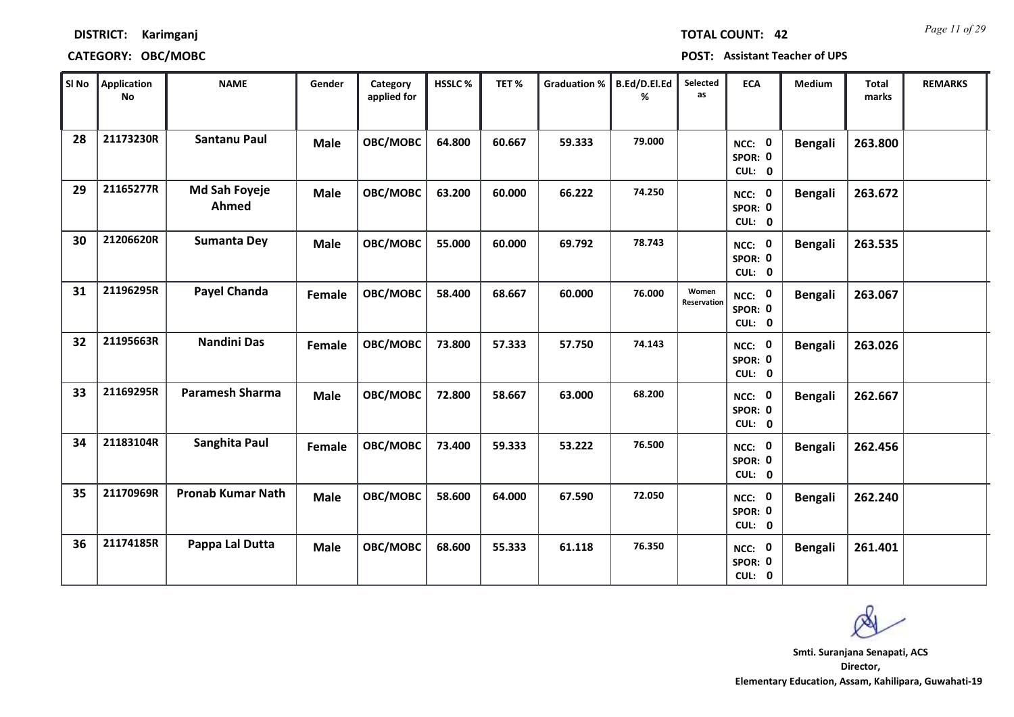| <b>DISTRICT:</b> | Karimganj |
|------------------|-----------|
|------------------|-----------|

| SI No | Application<br><b>No</b> | <b>NAME</b>                   | Gender      | Category<br>applied for | HSSLC % | TET%   | <b>Graduation %</b> | B.Ed/D.El.Ed<br>% | Selected<br>as       | <b>ECA</b>                  | Medium         | <b>Total</b><br>marks | <b>REMARKS</b> |
|-------|--------------------------|-------------------------------|-------------|-------------------------|---------|--------|---------------------|-------------------|----------------------|-----------------------------|----------------|-----------------------|----------------|
| 28    | 21173230R                | <b>Santanu Paul</b>           | <b>Male</b> | OBC/MOBC                | 64.800  | 60.667 | 59.333              | 79.000            |                      | NCC: 0<br>SPOR: 0<br>CUL: 0 | <b>Bengali</b> | 263.800               |                |
| 29    | 21165277R                | <b>Md Sah Foyeje</b><br>Ahmed | <b>Male</b> | OBC/MOBC                | 63.200  | 60.000 | 66.222              | 74.250            |                      | NCC: 0<br>SPOR: 0<br>CUL: 0 | <b>Bengali</b> | 263.672               |                |
| 30    | 21206620R                | <b>Sumanta Dey</b>            | <b>Male</b> | OBC/MOBC                | 55.000  | 60.000 | 69.792              | 78.743            |                      | NCC: 0<br>SPOR: 0<br>CUL: 0 | <b>Bengali</b> | 263.535               |                |
| 31    | 21196295R                | <b>Payel Chanda</b>           | Female      | OBC/MOBC                | 58.400  | 68.667 | 60.000              | 76.000            | Women<br>Reservation | NCC: 0<br>SPOR: 0<br>CUL: 0 | <b>Bengali</b> | 263.067               |                |
| 32    | 21195663R                | <b>Nandini Das</b>            | Female      | OBC/MOBC                | 73.800  | 57.333 | 57.750              | 74.143            |                      | NCC: 0<br>SPOR: 0<br>CUL: 0 | <b>Bengali</b> | 263.026               |                |
| 33    | 21169295R                | Paramesh Sharma               | <b>Male</b> | OBC/MOBC                | 72.800  | 58.667 | 63.000              | 68.200            |                      | NCC: 0<br>SPOR: 0<br>CUL: 0 | <b>Bengali</b> | 262.667               |                |
| 34    | 21183104R                | Sanghita Paul                 | Female      | OBC/MOBC                | 73.400  | 59.333 | 53.222              | 76.500            |                      | NCC: 0<br>SPOR: 0<br>CUL: 0 | <b>Bengali</b> | 262.456               |                |
| 35    | 21170969R                | <b>Pronab Kumar Nath</b>      | <b>Male</b> | OBC/MOBC                | 58.600  | 64.000 | 67.590              | 72.050            |                      | NCC: 0<br>SPOR: 0<br>CUL: 0 | <b>Bengali</b> | 262.240               |                |
| 36    | 21174185R                | Pappa Lal Dutta               | <b>Male</b> | OBC/MOBC                | 68.600  | 55.333 | 61.118              | 76.350            |                      | NCC: 0<br>SPOR: 0<br>CUL: 0 | <b>Bengali</b> | 261.401               |                |

*Page 11 of 29* **TOTAL COUNT: 42**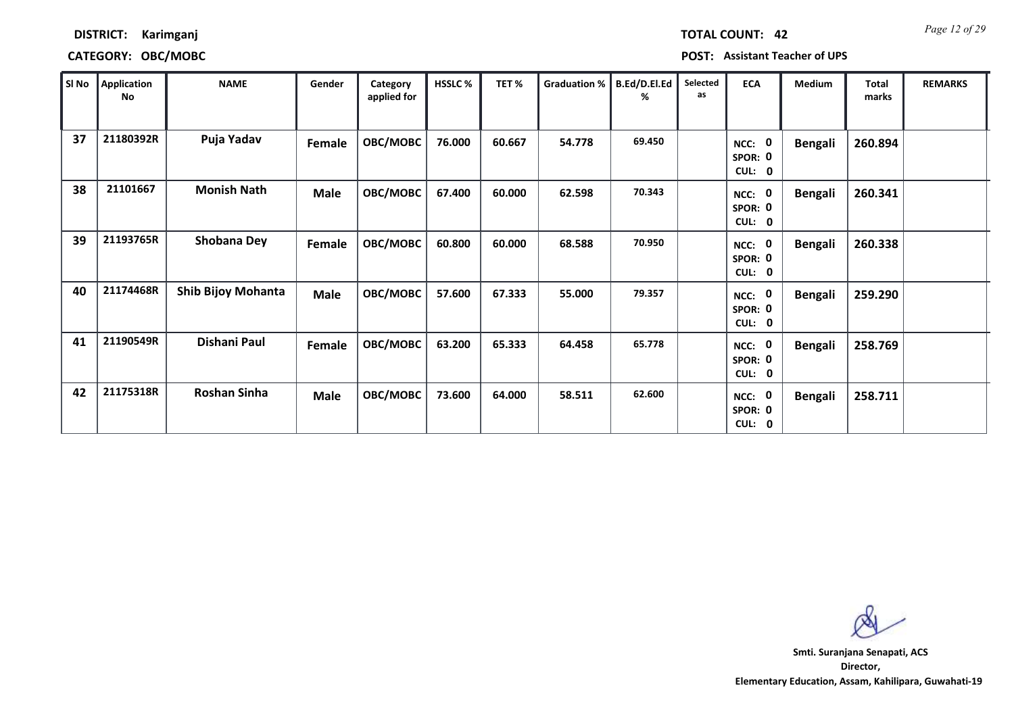| <b>TOTAL COUNT: 42</b> | Page 12 of 29 |
|------------------------|---------------|
|                        |               |

### **DISTRICT: Karimganj**

# **CATEGORY: OBC/MOBC POST: Assistant Teacher of UPS**

| SI No | <b>Application</b><br><b>No</b> | <b>NAME</b>               | Gender      | Category<br>applied for | HSSLC % | TET%   | <b>Graduation %</b> | <b>B.Ed/D.El.Ed</b><br>℅ | Selected<br>as | <b>ECA</b>                                | <b>Medium</b>  | <b>Total</b><br>marks | <b>REMARKS</b> |
|-------|---------------------------------|---------------------------|-------------|-------------------------|---------|--------|---------------------|--------------------------|----------------|-------------------------------------------|----------------|-----------------------|----------------|
| 37    | 21180392R                       | Puja Yadav                | Female      | OBC/MOBC                | 76.000  | 60.667 | 54.778              | 69.450                   |                | $\mathbf{0}$<br>NCC:<br>SPOR: 0<br>CUL: 0 | <b>Bengali</b> | 260.894               |                |
| 38    | 21101667                        | <b>Monish Nath</b>        | <b>Male</b> | OBC/MOBC                | 67.400  | 60.000 | 62.598              | 70.343                   |                | NCC: 0<br>SPOR: 0<br>CUL: 0               | <b>Bengali</b> | 260.341               |                |
| 39    | 21193765R                       | Shobana Dey               | Female      | OBC/MOBC                | 60.800  | 60.000 | 68.588              | 70.950                   |                | $\mathbf 0$<br>NCC:<br>SPOR: 0<br>CUL: 0  | <b>Bengali</b> | 260.338               |                |
| 40    | 21174468R                       | <b>Shib Bijoy Mohanta</b> | <b>Male</b> | OBC/MOBC                | 57.600  | 67.333 | 55.000              | 79.357                   |                | $\mathbf 0$<br>NCC:<br>SPOR: 0<br>CUL: 0  | <b>Bengali</b> | 259.290               |                |
| 41    | 21190549R                       | Dishani Paul              | Female      | OBC/MOBC                | 63.200  | 65.333 | 64.458              | 65.778                   |                | 0<br>NCC:<br>SPOR: 0<br>CUL: 0            | <b>Bengali</b> | 258.769               |                |
| 42    | 21175318R                       | Roshan Sinha              | <b>Male</b> | OBC/MOBC                | 73.600  | 64.000 | 58.511              | 62.600                   |                | $\mathbf{0}$<br>NCC:<br>SPOR: 0<br>CUL: 0 | <b>Bengali</b> | 258.711               |                |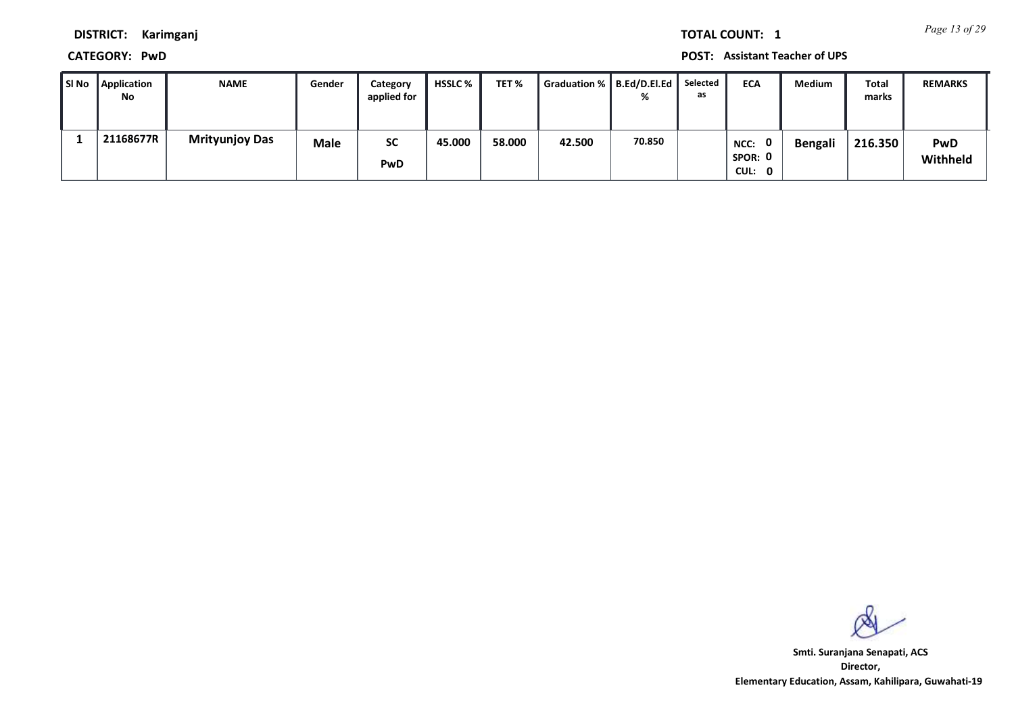*Page 13 of 29* **TOTAL COUNT: 1**

**DISTRICT: Karimganj**

**CATEGORY: PwD POST: Assistant Teacher of UPS**

| ∥SINo ″ | <b>Application</b><br><b>No</b> | <b>NAME</b>           | Gender      | Category<br>applied for | <b>HSSLC %</b> | TET%   | Graduation %    B.Ed/D.El.Ed |        | Selected<br>as | <b>ECA</b>                     | Medium  | Total<br>marks | <b>REMARKS</b>         |
|---------|---------------------------------|-----------------------|-------------|-------------------------|----------------|--------|------------------------------|--------|----------------|--------------------------------|---------|----------------|------------------------|
|         | 21168677R                       | <b>Mrityunjoy Das</b> | <b>Male</b> | <b>SC</b><br>PwD        | 45.000         | 58.000 | 42.500                       | 70.850 |                | 0<br>NCC:<br>SPOR: 0<br>CUL: 0 | Bengali | 216.350        | <b>PwD</b><br>Withheld |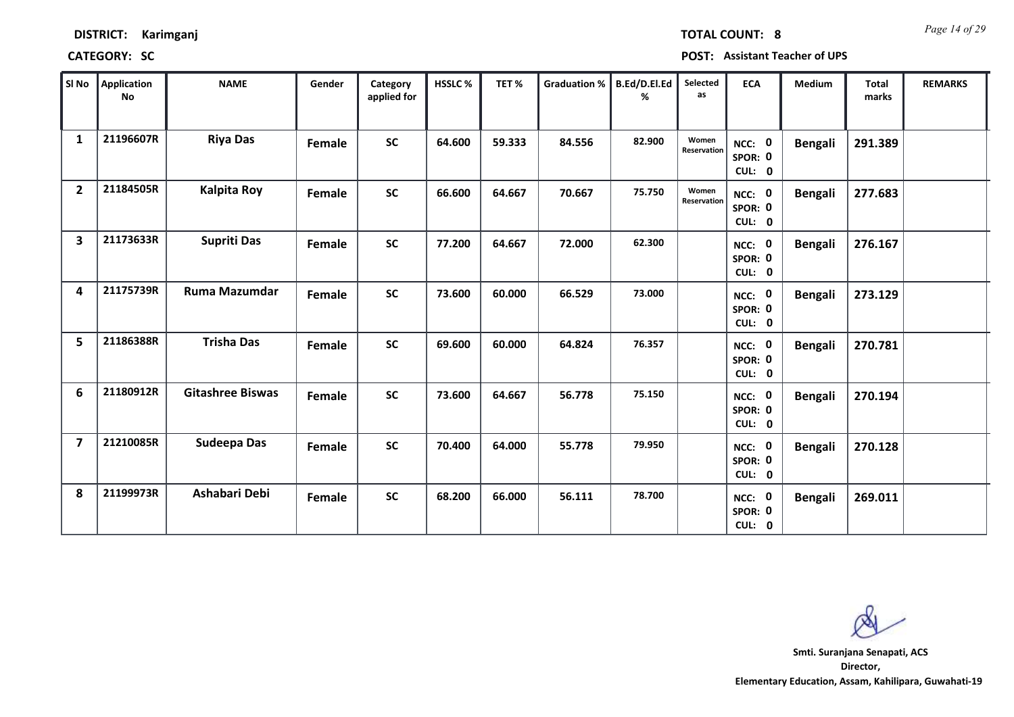*Page 14 of 29* **TOTAL COUNT: 8**

**CATEGORY: SC POST: Assistant Teacher of UPS**

| SI No                   | <b>Application</b><br>No | <b>NAME</b>             | Gender | Category<br>applied for | <b>HSSLC %</b> | TET%   | <b>Graduation %</b> | <b>B.Ed/D.El.Ed</b><br>% | Selected<br>as       | <b>ECA</b>                               | Medium         | Total<br>marks | <b>REMARKS</b> |
|-------------------------|--------------------------|-------------------------|--------|-------------------------|----------------|--------|---------------------|--------------------------|----------------------|------------------------------------------|----------------|----------------|----------------|
| $\mathbf{1}$            | 21196607R                | <b>Riya Das</b>         | Female | <b>SC</b>               | 64.600         | 59.333 | 84.556              | 82.900                   | Women<br>Reservation | NCC: 0<br>SPOR: 0<br>CUL: 0              | <b>Bengali</b> | 291.389        |                |
| $\overline{2}$          | 21184505R                | <b>Kalpita Roy</b>      | Female | <b>SC</b>               | 66.600         | 64.667 | 70.667              | 75.750                   | Women<br>Reservation | NCC: 0<br>SPOR: 0<br>CUL: 0              | <b>Bengali</b> | 277.683        |                |
| $\overline{\mathbf{3}}$ | 21173633R                | <b>Supriti Das</b>      | Female | <b>SC</b>               | 77.200         | 64.667 | 72.000              | 62.300                   |                      | NCC: 0<br>SPOR: 0<br>CUL: 0              | <b>Bengali</b> | 276.167        |                |
| 4                       | 21175739R                | <b>Ruma Mazumdar</b>    | Female | <b>SC</b>               | 73.600         | 60.000 | 66.529              | 73.000                   |                      | $\mathbf 0$<br>NCC:<br>SPOR: 0<br>CUL: 0 | <b>Bengali</b> | 273.129        |                |
| 5                       | 21186388R                | <b>Trisha Das</b>       | Female | <b>SC</b>               | 69.600         | 60.000 | 64.824              | 76.357                   |                      | NCC: 0<br>SPOR: 0<br>CUL: 0              | <b>Bengali</b> | 270.781        |                |
| 6                       | 21180912R                | <b>Gitashree Biswas</b> | Female | <b>SC</b>               | 73.600         | 64.667 | 56.778              | 75.150                   |                      | NCC: 0<br>SPOR: 0<br>CUL: 0              | <b>Bengali</b> | 270.194        |                |
| $\overline{\mathbf{z}}$ | 21210085R                | Sudeepa Das             | Female | <b>SC</b>               | 70.400         | 64.000 | 55.778              | 79.950                   |                      | $\mathbf 0$<br>NCC:<br>SPOR: 0<br>CUL: 0 | <b>Bengali</b> | 270.128        |                |
| 8                       | 21199973R                | Ashabari Debi           | Female | <b>SC</b>               | 68.200         | 66.000 | 56.111              | 78.700                   |                      | <b>NCC: 0</b><br>SPOR: 0<br>CUL: 0       | <b>Bengali</b> | 269.011        |                |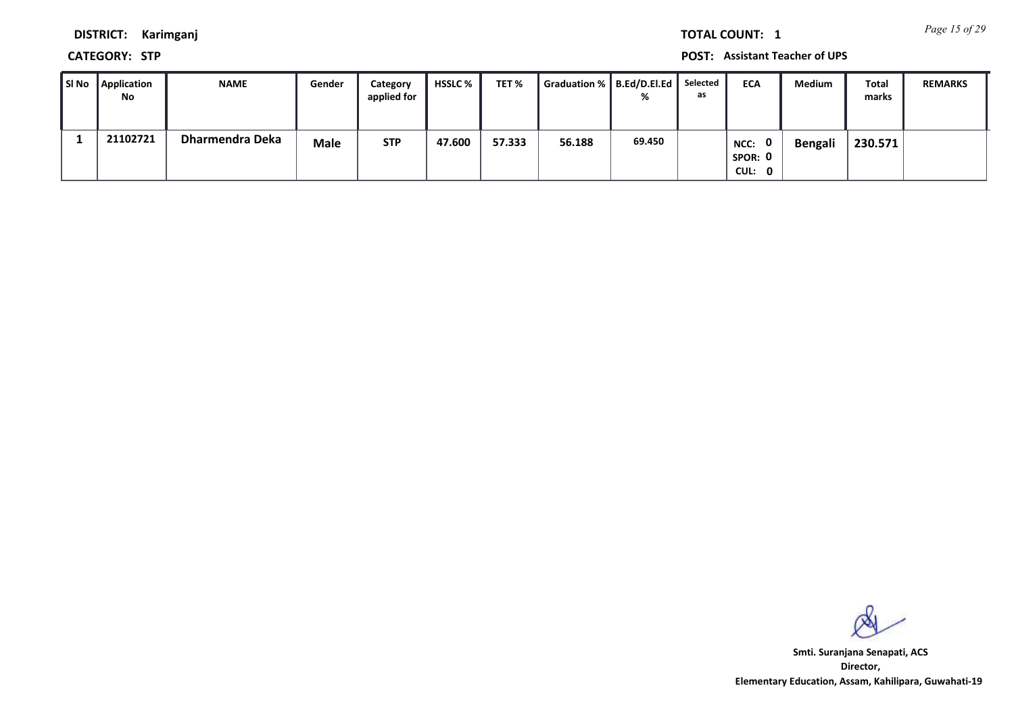*Page 15 of 29* **TOTAL COUNT: 1**

**DISTRICT: Karimganj**

**CATEGORY: STP POST: Assistant Teacher of UPS**

| Sl No | Application<br>No | <b>NAME</b>     | Gender      | Category<br>applied for | HSSLC % | TET %  | Graduation %   B.Ed/D.El.Ed |        | Selected<br>as | <b>ECA</b>                     | Medium         | <b>Total</b><br>marks | <b>REMARKS</b> |
|-------|-------------------|-----------------|-------------|-------------------------|---------|--------|-----------------------------|--------|----------------|--------------------------------|----------------|-----------------------|----------------|
|       | 21102721          | Dharmendra Deka | <b>Male</b> | <b>STP</b>              | 47.600  | 57.333 | 56.188                      | 69.450 |                | 0<br>NCC:<br>SPOR: 0<br>CUL: 0 | <b>Bengali</b> | 230.571               |                |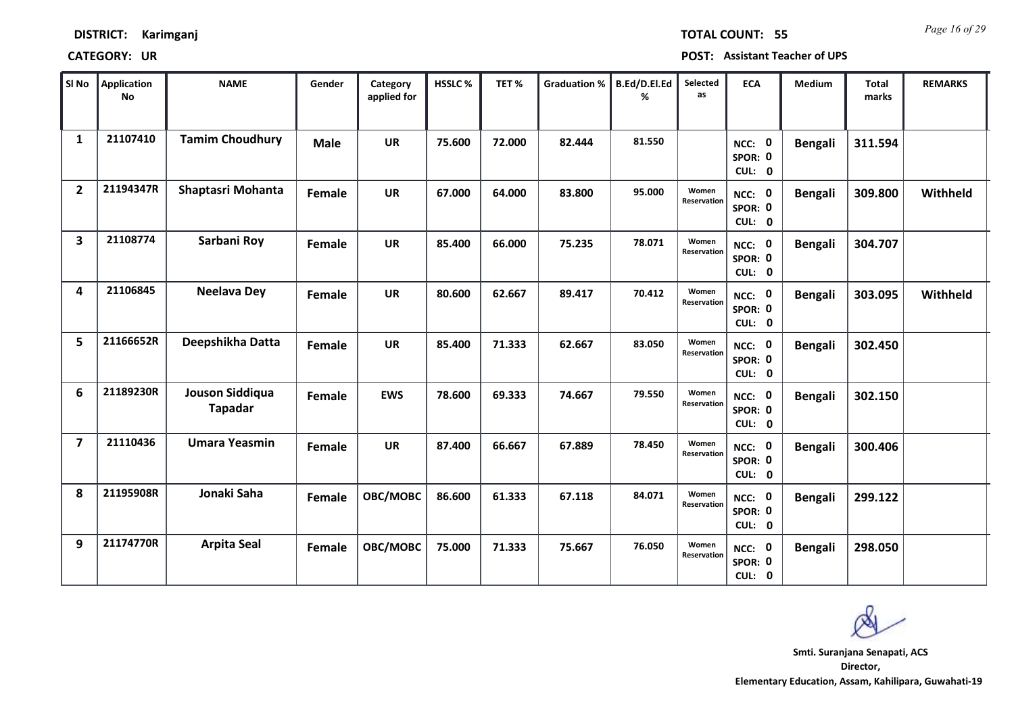| <b>DISTRICT:</b> | Karimganj |
|------------------|-----------|
|------------------|-----------|

*Page 16 of 29* **TOTAL COUNT: 55**

**CATEGORY: UR POST: Assistant Teacher of UPS**

| SI No                   | <b>Application</b><br><b>No</b> | <b>NAME</b>                | Gender      | Category<br>applied for | <b>HSSLC%</b> | TET%   | <b>Graduation %</b> | B.Ed/D.El.Ed<br>% | Selected<br>as       | <b>ECA</b>                         | <b>Medium</b>  | <b>Total</b><br>marks | <b>REMARKS</b> |
|-------------------------|---------------------------------|----------------------------|-------------|-------------------------|---------------|--------|---------------------|-------------------|----------------------|------------------------------------|----------------|-----------------------|----------------|
| $\mathbf{1}$            | 21107410                        | <b>Tamim Choudhury</b>     | <b>Male</b> | UR                      | 75.600        | 72.000 | 82.444              | 81.550            |                      | NCC: 0<br>SPOR: 0<br>CUL: 0        | <b>Bengali</b> | 311.594               |                |
| $\overline{2}$          | 21194347R                       | <b>Shaptasri Mohanta</b>   | Female      | <b>UR</b>               | 67.000        | 64.000 | 83.800              | 95.000            | Women<br>Reservation | NCC: 0<br>SPOR: 0<br>CUL: 0        | <b>Bengali</b> | 309.800               | Withheld       |
| $\overline{\mathbf{3}}$ | 21108774                        | Sarbani Roy                | Female      | <b>UR</b>               | 85.400        | 66.000 | 75.235              | 78.071            | Women<br>Reservation | NCC: 0<br>SPOR: 0<br>CUL: 0        | <b>Bengali</b> | 304.707               |                |
| 4                       | 21106845                        | <b>Neelava Dey</b>         | Female      | <b>UR</b>               | 80.600        | 62.667 | 89.417              | 70.412            | Women<br>Reservation | NCC: 0<br>SPOR: 0<br>CUL: 0        | <b>Bengali</b> | 303.095               | Withheld       |
| 5                       | 21166652R                       | Deepshikha Datta           | Female      | <b>UR</b>               | 85.400        | 71.333 | 62.667              | 83.050            | Women<br>Reservation | NCC: 0<br>SPOR: 0<br>CUL: 0        | <b>Bengali</b> | 302.450               |                |
| 6                       | 21189230R                       | Jouson Siddiqua<br>Tapadar | Female      | <b>EWS</b>              | 78.600        | 69.333 | 74.667              | 79.550            | Women<br>Reservation | NCC: 0<br>SPOR: 0<br>CUL: 0        | <b>Bengali</b> | 302.150               |                |
| $\overline{\mathbf{z}}$ | 21110436                        | <b>Umara Yeasmin</b>       | Female      | <b>UR</b>               | 87.400        | 66.667 | 67.889              | 78.450            | Women<br>Reservation | NCC: 0<br>SPOR: 0<br>CUL: 0        | <b>Bengali</b> | 300.406               |                |
| 8                       | 21195908R                       | Jonaki Saha                | Female      | OBC/MOBC                | 86.600        | 61.333 | 67.118              | 84.071            | Women<br>Reservation | <b>NCC: 0</b><br>SPOR: 0<br>CUL: 0 | <b>Bengali</b> | 299.122               |                |
| 9                       | 21174770R                       | <b>Arpita Seal</b>         | Female      | OBC/MOBC                | 75.000        | 71.333 | 75.667              | 76.050            | Women<br>Reservation | NCC: 0<br>SPOR: 0<br>CUL: 0        | <b>Bengali</b> | 298.050               |                |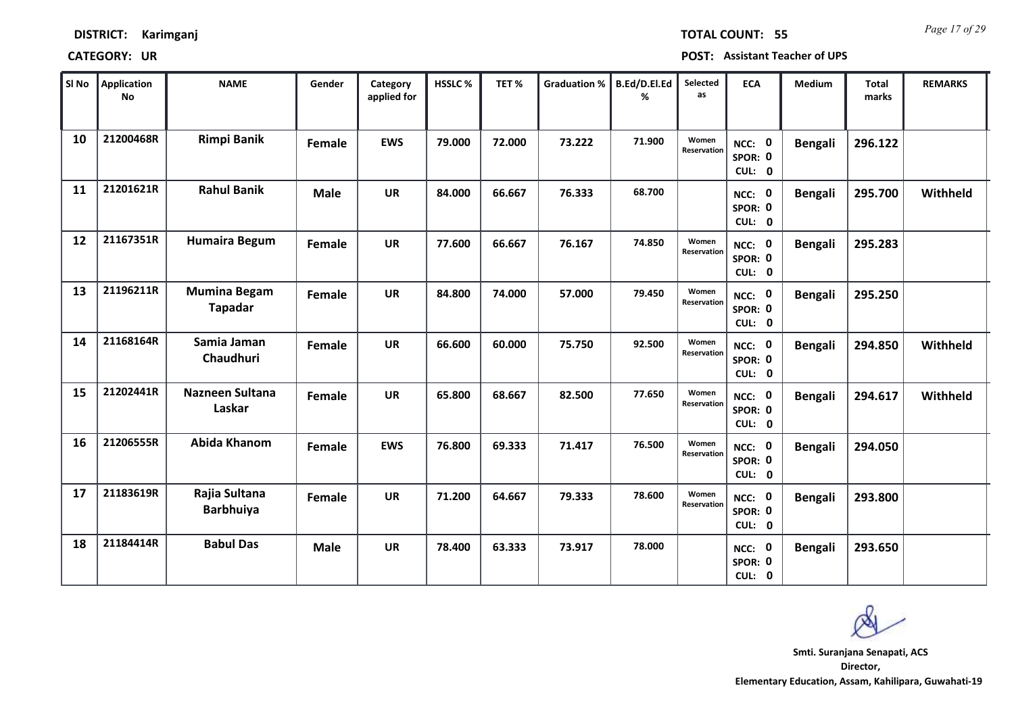| SI No | Application<br><b>No</b> | <b>NAME</b>                       | Gender        | Category<br>applied for | <b>HSSLC%</b> | TET%   | <b>Graduation %</b> | B.Ed/D.El.Ed<br>% | Selected<br>as       | <b>ECA</b>                  | Medium         | <b>Total</b><br>marks | <b>REMARKS</b> |
|-------|--------------------------|-----------------------------------|---------------|-------------------------|---------------|--------|---------------------|-------------------|----------------------|-----------------------------|----------------|-----------------------|----------------|
| 10    | 21200468R                | <b>Rimpi Banik</b>                | <b>Female</b> | <b>EWS</b>              | 79.000        | 72.000 | 73.222              | 71.900            | Women<br>Reservation | NCC: 0<br>SPOR: 0<br>CUL: 0 | <b>Bengali</b> | 296.122               |                |
| 11    | 21201621R                | <b>Rahul Banik</b>                | <b>Male</b>   | <b>UR</b>               | 84.000        | 66.667 | 76.333              | 68.700            |                      | NCC: 0<br>SPOR: 0<br>CUL: 0 | <b>Bengali</b> | 295.700               | Withheld       |
| 12    | 21167351R                | Humaira Begum                     | Female        | <b>UR</b>               | 77.600        | 66.667 | 76.167              | 74.850            | Women<br>Reservation | NCC: 0<br>SPOR: 0<br>CUL: 0 | <b>Bengali</b> | 295.283               |                |
| 13    | 21196211R                | <b>Mumina Begam</b><br>Tapadar    | Female        | <b>UR</b>               | 84.800        | 74.000 | 57.000              | 79.450            | Women<br>Reservation | NCC: 0<br>SPOR: 0<br>CUL: 0 | <b>Bengali</b> | 295.250               |                |
| 14    | 21168164R                | Samia Jaman<br>Chaudhuri          | Female        | <b>UR</b>               | 66.600        | 60.000 | 75.750              | 92.500            | Women<br>Reservation | NCC: 0<br>SPOR: 0<br>CUL: 0 | <b>Bengali</b> | 294.850               | Withheld       |
| 15    | 21202441R                | Nazneen Sultana<br>Laskar         | Female        | <b>UR</b>               | 65.800        | 68.667 | 82.500              | 77.650            | Women<br>Reservation | NCC: 0<br>SPOR: 0<br>CUL: 0 | <b>Bengali</b> | 294.617               | Withheld       |
| 16    | 21206555R                | Abida Khanom                      | Female        | <b>EWS</b>              | 76.800        | 69.333 | 71.417              | 76.500            | Women<br>Reservation | NCC: 0<br>SPOR: 0<br>CUL: 0 | <b>Bengali</b> | 294.050               |                |
| 17    | 21183619R                | Rajia Sultana<br><b>Barbhuiya</b> | Female        | <b>UR</b>               | 71.200        | 64.667 | 79.333              | 78.600            | Women<br>Reservation | NCC: 0<br>SPOR: 0<br>CUL: 0 | <b>Bengali</b> | 293.800               |                |
| 18    | 21184414R                | <b>Babul Das</b>                  | <b>Male</b>   | <b>UR</b>               | 78.400        | 63.333 | 73.917              | 78.000            |                      | NCC: 0<br>SPOR: 0<br>CUL: 0 | <b>Bengali</b> | 293.650               |                |

# **CATEGORY: UR POST: Assistant Teacher of UPS**

**DISTRICT: Karimganj**

**Smti. Suranjana Senapati, ACS**

**Director, Elementary Education, Assam, Kahilipara, Guwahati-19**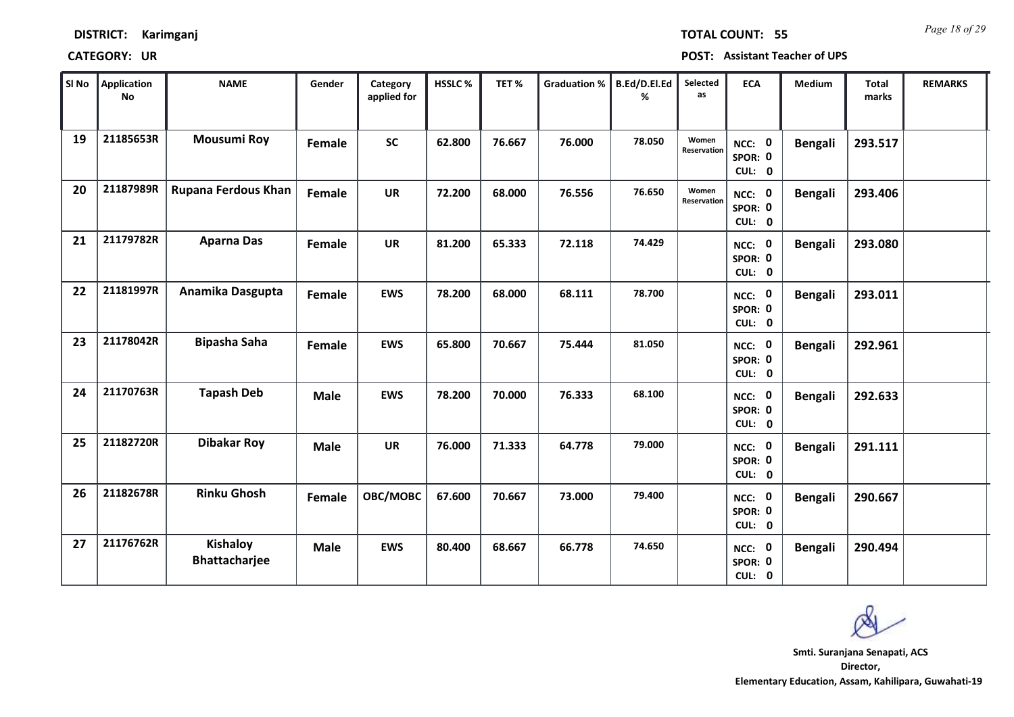| SI No | <b>Application</b><br><b>No</b> | <b>NAME</b>                      | Gender      | Category<br>applied for | HSSLC% | TET%   | <b>Graduation %</b> | B.Ed/D.El.Ed<br>% | Selected<br>as       | <b>ECA</b>                  | Medium         | <b>Total</b><br>marks | <b>REMARKS</b> |
|-------|---------------------------------|----------------------------------|-------------|-------------------------|--------|--------|---------------------|-------------------|----------------------|-----------------------------|----------------|-----------------------|----------------|
| 19    | 21185653R                       | <b>Mousumi Roy</b>               | Female      | <b>SC</b>               | 62.800 | 76.667 | 76.000              | 78.050            | Women<br>Reservation | NCC: 0<br>SPOR: 0<br>CUL: 0 | <b>Bengali</b> | 293.517               |                |
| 20    | 21187989R                       | Rupana Ferdous Khan              | Female      | <b>UR</b>               | 72.200 | 68.000 | 76.556              | 76.650            | Women<br>Reservation | NCC: 0<br>SPOR: 0<br>CUL: 0 | <b>Bengali</b> | 293.406               |                |
| 21    | 21179782R                       | <b>Aparna Das</b>                | Female      | <b>UR</b>               | 81.200 | 65.333 | 72.118              | 74.429            |                      | NCC: 0<br>SPOR: 0<br>CUL: 0 | <b>Bengali</b> | 293.080               |                |
| 22    | 21181997R                       | Anamika Dasgupta                 | Female      | <b>EWS</b>              | 78.200 | 68.000 | 68.111              | 78.700            |                      | NCC: 0<br>SPOR: 0<br>CUL: 0 | <b>Bengali</b> | 293.011               |                |
| 23    | 21178042R                       | <b>Bipasha Saha</b>              | Female      | <b>EWS</b>              | 65.800 | 70.667 | 75.444              | 81.050            |                      | NCC: 0<br>SPOR: 0<br>CUL: 0 | <b>Bengali</b> | 292.961               |                |
| 24    | 21170763R                       | <b>Tapash Deb</b>                | <b>Male</b> | <b>EWS</b>              | 78.200 | 70.000 | 76.333              | 68.100            |                      | NCC: 0<br>SPOR: 0<br>CUL: 0 | <b>Bengali</b> | 292.633               |                |
| 25    | 21182720R                       | <b>Dibakar Roy</b>               | <b>Male</b> | <b>UR</b>               | 76.000 | 71.333 | 64.778              | 79.000            |                      | NCC: 0<br>SPOR: 0<br>CUL: 0 | <b>Bengali</b> | 291.111               |                |
| 26    | 21182678R                       | <b>Rinku Ghosh</b>               | Female      | OBC/MOBC                | 67.600 | 70.667 | 73.000              | 79.400            |                      | NCC: 0<br>SPOR: 0<br>CUL: 0 | <b>Bengali</b> | 290.667               |                |
| 27    | 21176762R                       | Kishaloy<br><b>Bhattacharjee</b> | <b>Male</b> | <b>EWS</b>              | 80.400 | 68.667 | 66.778              | 74.650            |                      | NCC: 0<br>SPOR: 0<br>CUL: 0 | <b>Bengali</b> | 290.494               |                |

**CATEGORY: UR POST: Assistant Teacher of UPS**

**Director, Elementary Education, Assam, Kahilipara, Guwahati-19 Smti. Suranjana Senapati, ACS**

*Page 18 of 29* **TOTAL COUNT: 55**

**DISTRICT: Karimganj**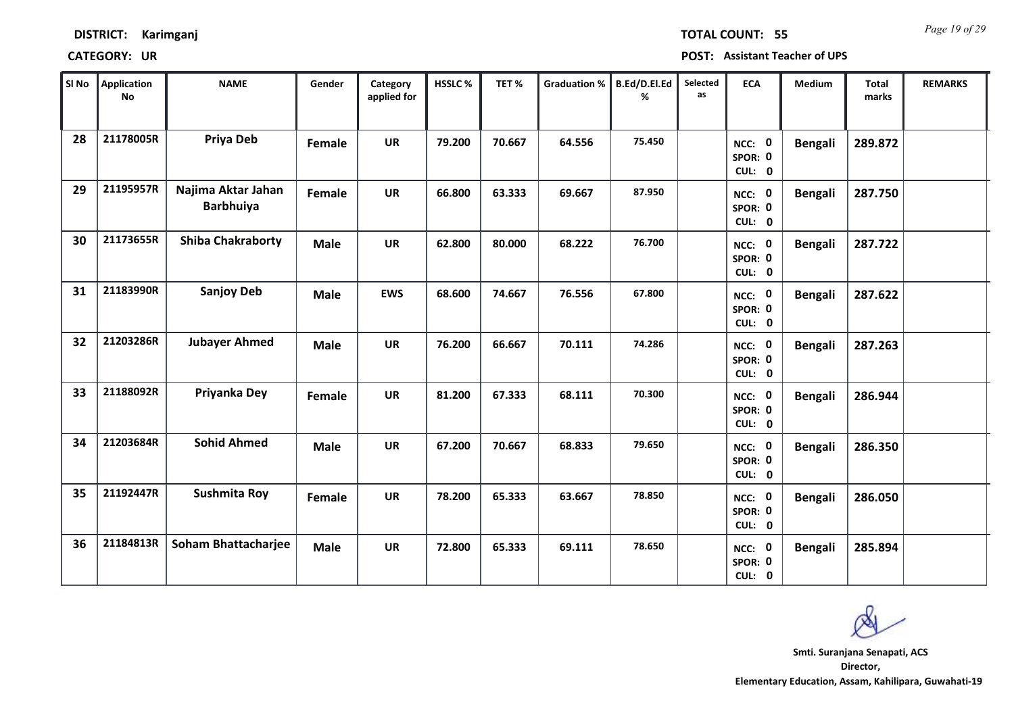*Page 19 of 29* **TOTAL COUNT: 55**

**CATEGORY: UR POST: Assistant Teacher of UPS**

| SI No | Application<br>No | <b>NAME</b>                            | Gender      | Category<br>applied for | HSSLC% | TET%   | <b>Graduation %</b> | B.Ed/D.El.Ed<br>% | Selected<br>as | <b>ECA</b>                  | <b>Medium</b>  | <b>Total</b><br>marks | <b>REMARKS</b> |
|-------|-------------------|----------------------------------------|-------------|-------------------------|--------|--------|---------------------|-------------------|----------------|-----------------------------|----------------|-----------------------|----------------|
| 28    | 21178005R         | Priya Deb                              | Female      | <b>UR</b>               | 79.200 | 70.667 | 64.556              | 75.450            |                | NCC: 0<br>SPOR: 0<br>CUL: 0 | <b>Bengali</b> | 289.872               |                |
| 29    | 21195957R         | Najima Aktar Jahan<br><b>Barbhuiya</b> | Female      | <b>UR</b>               | 66.800 | 63.333 | 69.667              | 87.950            |                | NCC: 0<br>SPOR: 0<br>CUL: 0 | <b>Bengali</b> | 287.750               |                |
| 30    | 21173655R         | <b>Shiba Chakraborty</b>               | <b>Male</b> | <b>UR</b>               | 62.800 | 80.000 | 68.222              | 76.700            |                | NCC: 0<br>SPOR: 0<br>CUL: 0 | <b>Bengali</b> | 287.722               |                |
| 31    | 21183990R         | <b>Sanjoy Deb</b>                      | <b>Male</b> | <b>EWS</b>              | 68.600 | 74.667 | 76.556              | 67.800            |                | NCC: 0<br>SPOR: 0<br>CUL: 0 | <b>Bengali</b> | 287.622               |                |
| 32    | 21203286R         | <b>Jubayer Ahmed</b>                   | <b>Male</b> | <b>UR</b>               | 76.200 | 66.667 | 70.111              | 74.286            |                | NCC: 0<br>SPOR: 0<br>CUL: 0 | <b>Bengali</b> | 287.263               |                |
| 33    | 21188092R         | Priyanka Dey                           | Female      | <b>UR</b>               | 81.200 | 67.333 | 68.111              | 70.300            |                | NCC: 0<br>SPOR: 0<br>CUL: 0 | <b>Bengali</b> | 286.944               |                |
| 34    | 21203684R         | <b>Sohid Ahmed</b>                     | <b>Male</b> | <b>UR</b>               | 67.200 | 70.667 | 68.833              | 79.650            |                | NCC: 0<br>SPOR: 0<br>CUL: 0 | <b>Bengali</b> | 286.350               |                |
| 35    | 21192447R         | Sushmita Roy                           | Female      | <b>UR</b>               | 78.200 | 65.333 | 63.667              | 78.850            |                | NCC: 0<br>SPOR: 0<br>CUL: 0 | <b>Bengali</b> | 286.050               |                |
| 36    | 21184813R         | Soham Bhattacharjee                    | <b>Male</b> | <b>UR</b>               | 72.800 | 65.333 | 69.111              | 78.650            |                | NCC: 0<br>SPOR: 0<br>CUL: 0 | <b>Bengali</b> | 285.894               |                |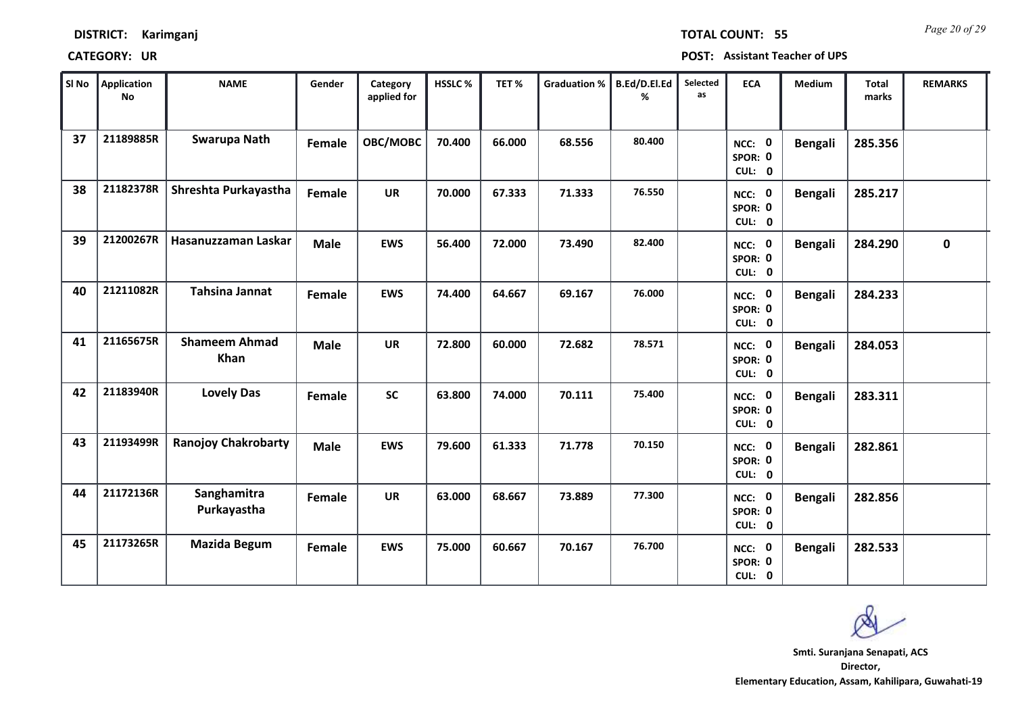| SI No | Application<br><b>No</b> | <b>NAME</b>                  | Gender      | Category<br>applied for | HSSLC% | TET%   | <b>Graduation %</b> | B.Ed/D.El.Ed<br>% | Selected<br>as | <b>ECA</b>                         | Medium         | <b>Total</b><br>marks | <b>REMARKS</b> |
|-------|--------------------------|------------------------------|-------------|-------------------------|--------|--------|---------------------|-------------------|----------------|------------------------------------|----------------|-----------------------|----------------|
| 37    | 21189885R                | Swarupa Nath                 | Female      | OBC/MOBC                | 70.400 | 66.000 | 68.556              | 80.400            |                | NCC: 0<br>SPOR: 0<br>CUL: 0        | <b>Bengali</b> | 285.356               |                |
| 38    | 21182378R                | Shreshta Purkayastha         | Female      | <b>UR</b>               | 70.000 | 67.333 | 71.333              | 76.550            |                | NCC: 0<br>SPOR: 0<br>CUL: 0        | <b>Bengali</b> | 285.217               |                |
| 39    | 21200267R                | Hasanuzzaman Laskar          | <b>Male</b> | <b>EWS</b>              | 56.400 | 72.000 | 73.490              | 82.400            |                | NCC: 0<br>SPOR: 0<br>CUL: 0        | <b>Bengali</b> | 284.290               | $\mathbf 0$    |
| 40    | 21211082R                | <b>Tahsina Jannat</b>        | Female      | <b>EWS</b>              | 74.400 | 64.667 | 69.167              | 76.000            |                | NCC: 0<br>SPOR: 0<br>CUL: 0        | <b>Bengali</b> | 284.233               |                |
| 41    | 21165675R                | <b>Shameem Ahmad</b><br>Khan | <b>Male</b> | <b>UR</b>               | 72.800 | 60.000 | 72.682              | 78.571            |                | NCC: 0<br>SPOR: 0<br>CUL: 0        | <b>Bengali</b> | 284.053               |                |
| 42    | 21183940R                | <b>Lovely Das</b>            | Female      | <b>SC</b>               | 63.800 | 74.000 | 70.111              | 75.400            |                | NCC: 0<br>SPOR: 0<br>CUL: 0        | <b>Bengali</b> | 283.311               |                |
| 43    | 21193499R                | <b>Ranojoy Chakrobarty</b>   | <b>Male</b> | <b>EWS</b>              | 79.600 | 61.333 | 71.778              | 70.150            |                | NCC: 0<br>SPOR: 0<br>CUL: 0        | <b>Bengali</b> | 282.861               |                |
| 44    | 21172136R                | Sanghamitra<br>Purkayastha   | Female      | <b>UR</b>               | 63.000 | 68.667 | 73.889              | 77.300            |                | NCC: 0<br>SPOR: 0<br>CUL: 0        | <b>Bengali</b> | 282.856               |                |
| 45    | 21173265R                | <b>Mazida Begum</b>          | Female      | <b>EWS</b>              | 75.000 | 60.667 | 70.167              | 76.700            |                | <b>NCC: 0</b><br>SPOR: 0<br>CUL: 0 | <b>Bengali</b> | 282.533               |                |

**CATEGORY: UR POST: Assistant Teacher of UPS**

**Director, Smti. Suranjana Senapati, ACS**

**Elementary Education, Assam, Kahilipara, Guwahati-19**

*Page 20 of 29* **TOTAL COUNT: 55**

Т

**DISTRICT: Karimganj**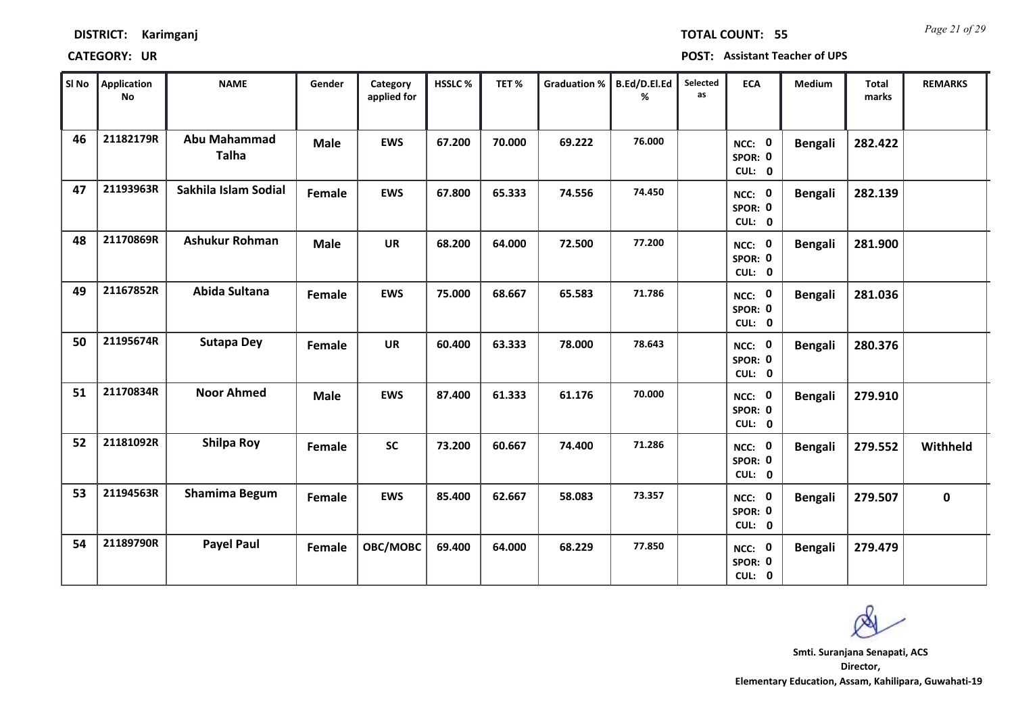**CATEGORY: UR POST: Assistant Teacher of UPS**

| SI No | Application<br>No | <b>NAME</b>                         | Gender      | Category<br>applied for | <b>HSSLC%</b> | TET%   | <b>Graduation %</b> | B.Ed/D.El.Ed<br>% | Selected<br>as | <b>ECA</b>                         | Medium         | Total<br>marks | <b>REMARKS</b> |
|-------|-------------------|-------------------------------------|-------------|-------------------------|---------------|--------|---------------------|-------------------|----------------|------------------------------------|----------------|----------------|----------------|
| 46    | 21182179R         | <b>Abu Mahammad</b><br><b>Talha</b> | <b>Male</b> | <b>EWS</b>              | 67.200        | 70.000 | 69.222              | 76.000            |                | NCC: 0<br>SPOR: 0<br>CUL: 0        | <b>Bengali</b> | 282.422        |                |
| 47    | 21193963R         | Sakhila Islam Sodial                | Female      | <b>EWS</b>              | 67.800        | 65.333 | 74.556              | 74.450            |                | NCC: 0<br>SPOR: 0<br>CUL: 0        | <b>Bengali</b> | 282.139        |                |
| 48    | 21170869R         | <b>Ashukur Rohman</b>               | <b>Male</b> | <b>UR</b>               | 68.200        | 64.000 | 72.500              | 77.200            |                | NCC: 0<br>SPOR: 0<br>CUL: 0        | <b>Bengali</b> | 281.900        |                |
| 49    | 21167852R         | Abida Sultana                       | Female      | <b>EWS</b>              | 75.000        | 68.667 | 65.583              | 71.786            |                | NCC: 0<br>SPOR: 0<br>CUL: 0        | <b>Bengali</b> | 281.036        |                |
| 50    | 21195674R         | <b>Sutapa Dey</b>                   | Female      | <b>UR</b>               | 60.400        | 63.333 | 78.000              | 78.643            |                | NCC: 0<br>SPOR: 0<br>CUL: 0        | <b>Bengali</b> | 280.376        |                |
| 51    | 21170834R         | <b>Noor Ahmed</b>                   | <b>Male</b> | <b>EWS</b>              | 87.400        | 61.333 | 61.176              | 70.000            |                | NCC: 0<br>SPOR: 0<br>CUL: 0        | <b>Bengali</b> | 279.910        |                |
| 52    | 21181092R         | Shilpa Roy                          | Female      | SC                      | 73.200        | 60.667 | 74.400              | 71.286            |                | NCC: 0<br>SPOR: 0<br>CUL: 0        | <b>Bengali</b> | 279.552        | Withheld       |
| 53    | 21194563R         | Shamima Begum                       | Female      | <b>EWS</b>              | 85.400        | 62.667 | 58.083              | 73.357            |                | <b>NCC: 0</b><br>SPOR: 0<br>CUL: 0 | <b>Bengali</b> | 279.507        | $\mathbf 0$    |
| 54    | 21189790R         | <b>Payel Paul</b>                   | Female      | OBC/MOBC                | 69.400        | 64.000 | 68.229              | 77.850            |                | <b>NCC: 0</b><br>SPOR: 0<br>CUL: 0 | <b>Bengali</b> | 279.479        |                |

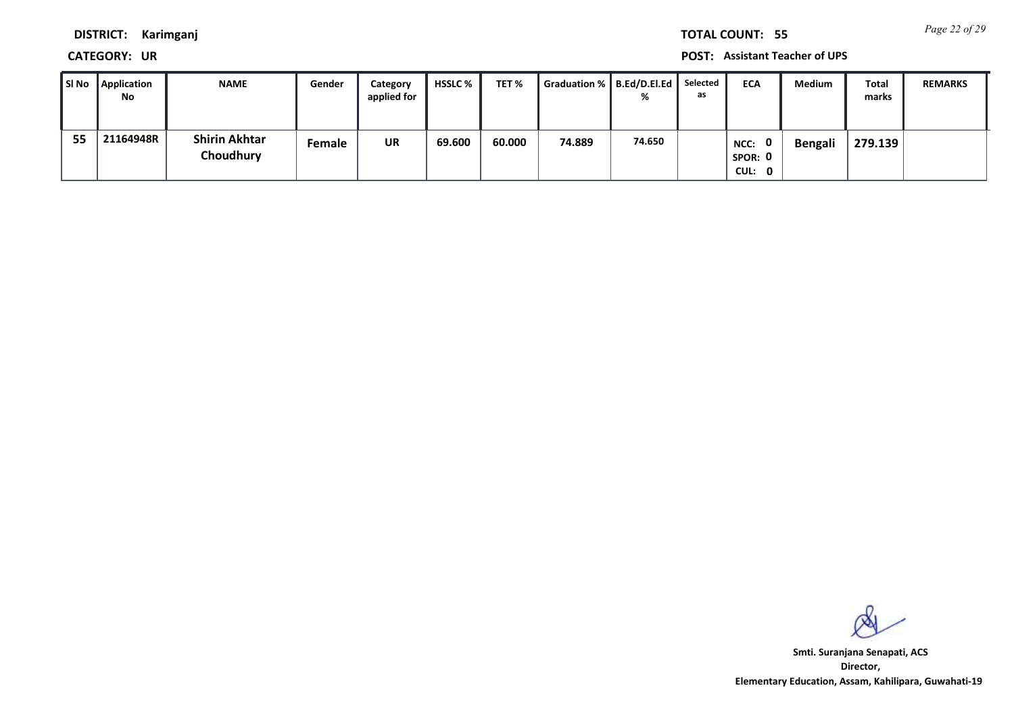*Page 22 of 29* **TOTAL COUNT: 55**

**DISTRICT: Karimganj**

**CATEGORY: UR POST: Assistant Teacher of UPS**

| l SI No | <b>Application</b><br>No | <b>NAME</b>                       | Gender | Category<br>applied for | <b>HSSLC</b> % | TET %  | Graduation %    B.Ed/D.El.Ed | %      | Selected<br>as | <b>ECA</b>                     | Medium  | Total<br>marks | <b>REMARKS</b> |
|---------|--------------------------|-----------------------------------|--------|-------------------------|----------------|--------|------------------------------|--------|----------------|--------------------------------|---------|----------------|----------------|
| 55      | 21164948R                | <b>Shirin Akhtar</b><br>Choudhury | Female | <b>UR</b>               | 69.600         | 60.000 | 74.889                       | 74.650 |                | 0<br>NCC:<br>SPOR: 0<br>CUL: 0 | Bengali | 279.139        |                |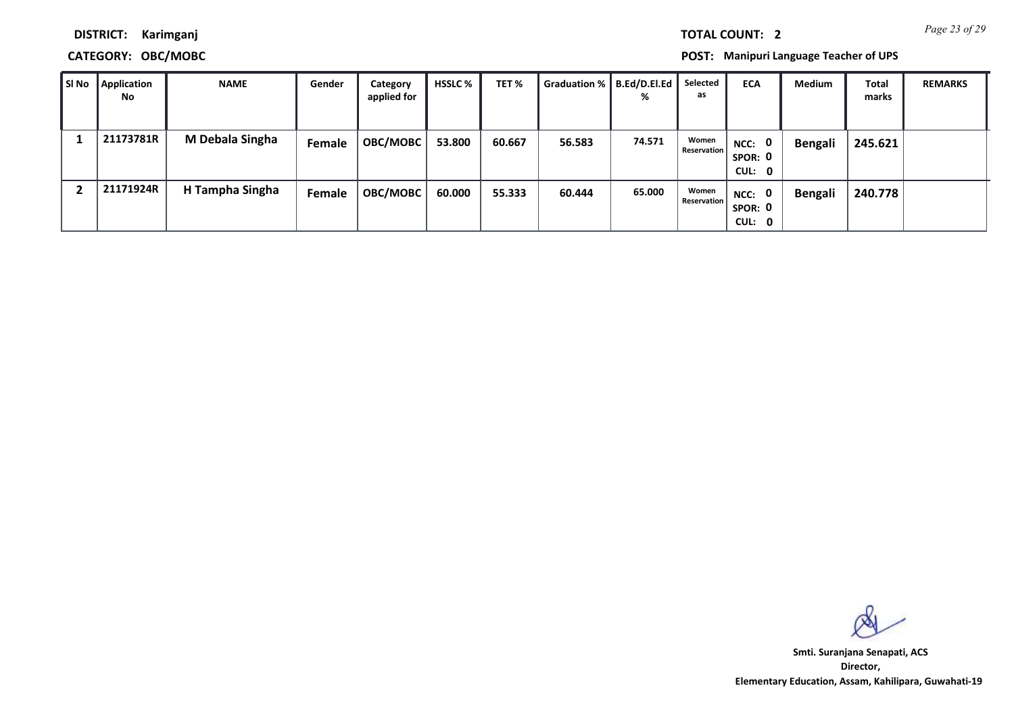*Page 23 of 29* **TOTAL COUNT: 2**

**DISTRICT: Karimganj**

**CATEGORY: OBC/MOBC POST: Manipuri Language Teacher of UPS**

| SI No | <b>Application</b><br>No. | <b>NAME</b>     | Gender | Category<br>applied for | <b>HSSLC</b> % | TET%   | Graduation %   B.Ed/D.El.Ed | %      | Selected<br>as              | <b>ECA</b>                  | <b>Medium</b>  | <b>Total</b><br>marks | <b>REMARKS</b> |
|-------|---------------------------|-----------------|--------|-------------------------|----------------|--------|-----------------------------|--------|-----------------------------|-----------------------------|----------------|-----------------------|----------------|
|       | 21173781R                 | M Debala Singha | Female | <b>OBC/MOBC</b>         | 53.800         | 60.667 | 56.583                      | 74.571 | Women<br><b>Reservation</b> | NCC: 0<br>SPOR: 0<br>CUL: 0 | <b>Bengali</b> | 245.621               |                |
|       | 21171924R                 | H Tampha Singha | Female | <b>OBC/MOBC</b>         | 60.000         | 55.333 | 60.444                      | 65.000 | Women<br><b>Reservation</b> | NCC: 0<br>SPOR: 0<br>CUL: 0 | <b>Bengali</b> | 240.778               |                |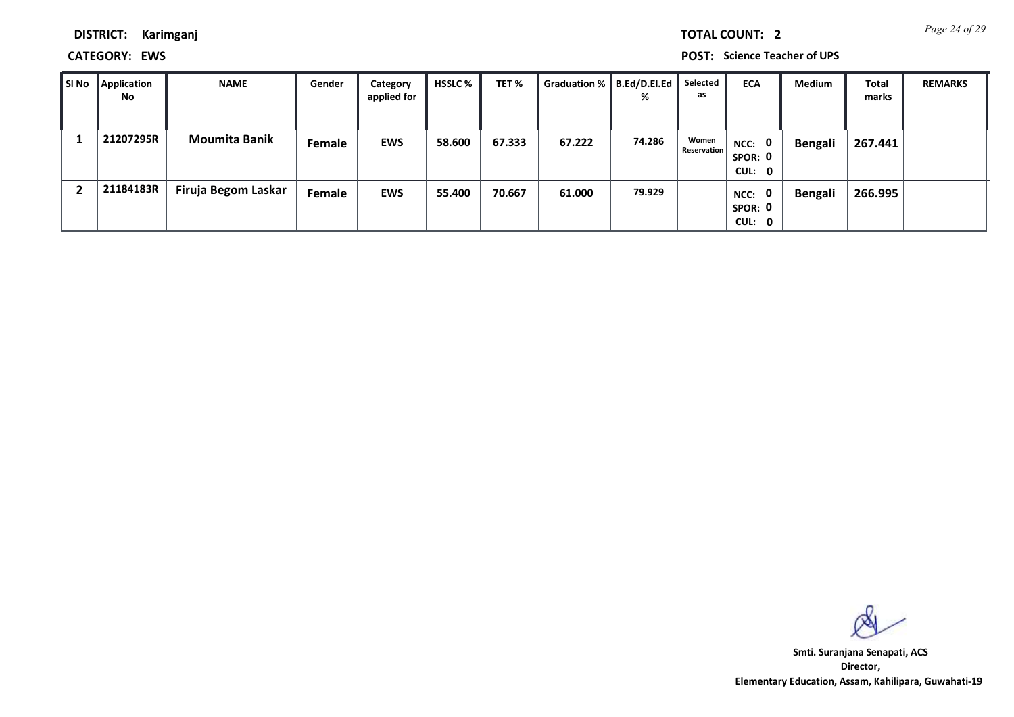*Page 24 of 29* **TOTAL COUNT: 2**

**DISTRICT: Karimganj**

**CATEGORY: EWS POST: Science Teacher of UPS**

| SI No | Application<br>No | <b>NAME</b>          | Gender | Category<br>applied for | <b>HSSLC</b> % | TET %  | Graduation %   B.Ed/D.El.Ed | %      | Selected<br>as              | <b>ECA</b>                  | Medium  | Total<br>marks | <b>REMARKS</b> |
|-------|-------------------|----------------------|--------|-------------------------|----------------|--------|-----------------------------|--------|-----------------------------|-----------------------------|---------|----------------|----------------|
|       | 21207295R         | <b>Moumita Banik</b> | Female | <b>EWS</b>              | 58.600         | 67.333 | 67.222                      | 74.286 | Women<br><b>Reservation</b> | NCC: 0<br>SPOR: 0<br>CUL: 0 | Bengali | 267.441        |                |
|       | 21184183R         | Firuja Begom Laskar  | Female | <b>EWS</b>              | 55.400         | 70.667 | 61.000                      | 79.929 |                             | NCC: 0<br>SPOR: 0<br>CUL: 0 | Bengali | 266.995        |                |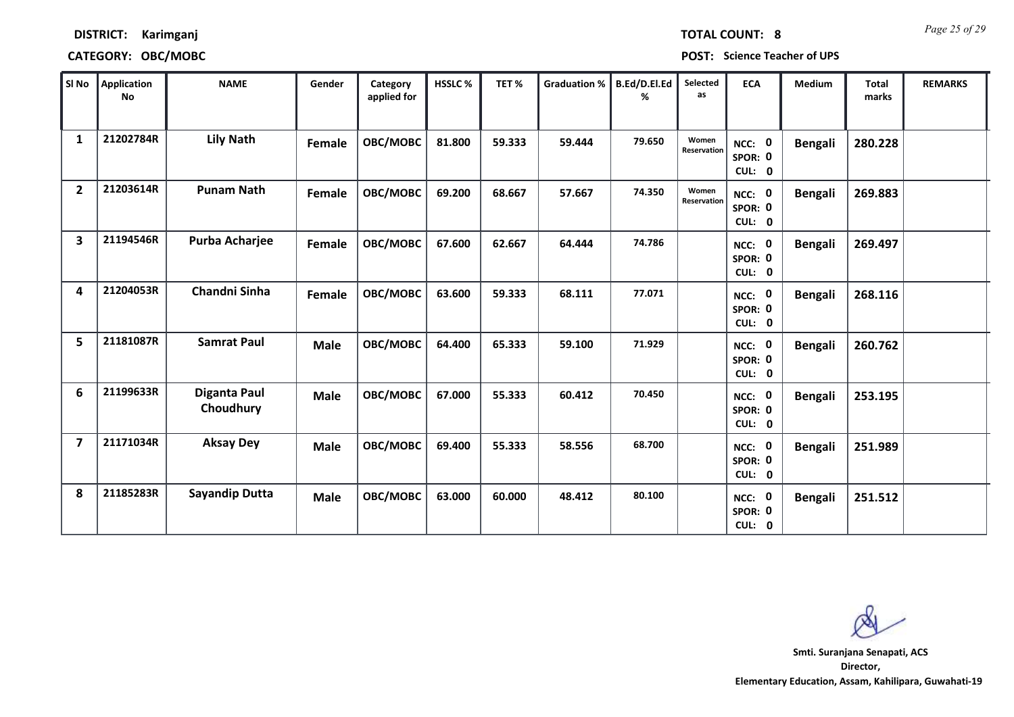# **CATEGORY: OBC/MOBC POST: Science Teacher of UPS**

*Page 25 of 29* **TOTAL COUNT: 8**

| SI No                   | <b>Application</b><br>No | <b>NAME</b>                      | Gender      | Category<br>applied for | <b>HSSLC%</b> | TET%   | <b>Graduation %</b> | <b>B.Ed/D.El.Ed</b><br>% | Selected<br>as       | <b>ECA</b>                         | Medium         | Total<br>marks | <b>REMARKS</b> |
|-------------------------|--------------------------|----------------------------------|-------------|-------------------------|---------------|--------|---------------------|--------------------------|----------------------|------------------------------------|----------------|----------------|----------------|
| $\mathbf{1}$            | 21202784R                | <b>Lily Nath</b>                 | Female      | OBC/MOBC                | 81.800        | 59.333 | 59.444              | 79.650                   | Women<br>Reservation | NCC: 0<br>SPOR: 0<br>CUL: 0        | <b>Bengali</b> | 280.228        |                |
| $\overline{2}$          | 21203614R                | <b>Punam Nath</b>                | Female      | OBC/MOBC                | 69.200        | 68.667 | 57.667              | 74.350                   | Women<br>Reservation | NCC: 0<br>SPOR: 0<br>CUL: 0        | <b>Bengali</b> | 269.883        |                |
| $\overline{\mathbf{3}}$ | 21194546R                | Purba Acharjee                   | Female      | OBC/MOBC                | 67.600        | 62.667 | 64.444              | 74.786                   |                      | NCC: 0<br>SPOR: 0<br>CUL: 0        | Bengali        | 269.497        |                |
| 4                       | 21204053R                | Chandni Sinha                    | Female      | OBC/MOBC                | 63.600        | 59.333 | 68.111              | 77.071                   |                      | NCC: 0<br>SPOR: 0<br>CUL: 0        | <b>Bengali</b> | 268.116        |                |
| 5                       | 21181087R                | <b>Samrat Paul</b>               | <b>Male</b> | OBC/MOBC                | 64.400        | 65.333 | 59.100              | 71.929                   |                      | NCC: 0<br>SPOR: 0<br>CUL: 0        | <b>Bengali</b> | 260.762        |                |
| 6                       | 21199633R                | <b>Diganta Paul</b><br>Choudhury | <b>Male</b> | OBC/MOBC                | 67.000        | 55.333 | 60.412              | 70.450                   |                      | NCC: 0<br>SPOR: 0<br>CUL: 0        | <b>Bengali</b> | 253.195        |                |
| $\overline{7}$          | 21171034R                | <b>Aksay Dey</b>                 | <b>Male</b> | OBC/MOBC                | 69.400        | 55.333 | 58.556              | 68.700                   |                      | NCC: 0<br>SPOR: 0<br>CUL: 0        | <b>Bengali</b> | 251.989        |                |
| 8                       | 21185283R                | <b>Sayandip Dutta</b>            | <b>Male</b> | OBC/MOBC                | 63.000        | 60.000 | 48.412              | 80.100                   |                      | <b>NCC: 0</b><br>SPOR: 0<br>CUL: 0 | <b>Bengali</b> | 251.512        |                |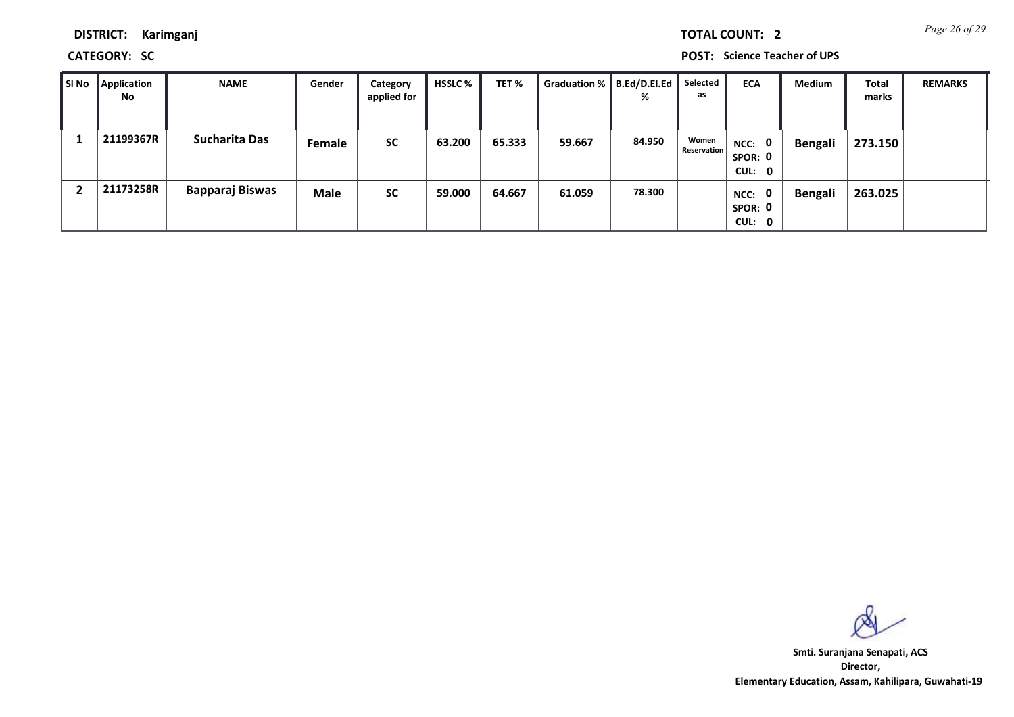*Page 26 of 29* **TOTAL COUNT: 2**

**DISTRICT: Karimganj**

**CATEGORY: SC POST: Science Teacher of UPS**

| l SI No | <b>Application</b><br><b>No</b> | <b>NAME</b>            | Gender        | Category<br>applied for | <b>HSSLC</b> % | TET %  | Graduation %   B.Ed/D.El.Ed | %      | Selected<br>as              | <b>ECA</b>                               | Medium         | <b>Total</b><br>marks | <b>REMARKS</b> |
|---------|---------------------------------|------------------------|---------------|-------------------------|----------------|--------|-----------------------------|--------|-----------------------------|------------------------------------------|----------------|-----------------------|----------------|
|         | 21199367R                       | Sucharita Das          | <b>Female</b> | <b>SC</b>               | 63.200         | 65.333 | 59.667                      | 84.950 | Women<br><b>Reservation</b> | NCC: 0<br>SPOR: 0<br>CUL: 0              | <b>Bengali</b> | 273.150               |                |
|         | 21173258R                       | <b>Bapparaj Biswas</b> | <b>Male</b>   | <b>SC</b>               | 59.000         | 64.667 | 61.059                      | 78.300 |                             | $\mathbf 0$<br>NCC:<br>SPOR: 0<br>CUL: 0 | <b>Bengali</b> | 263.025               |                |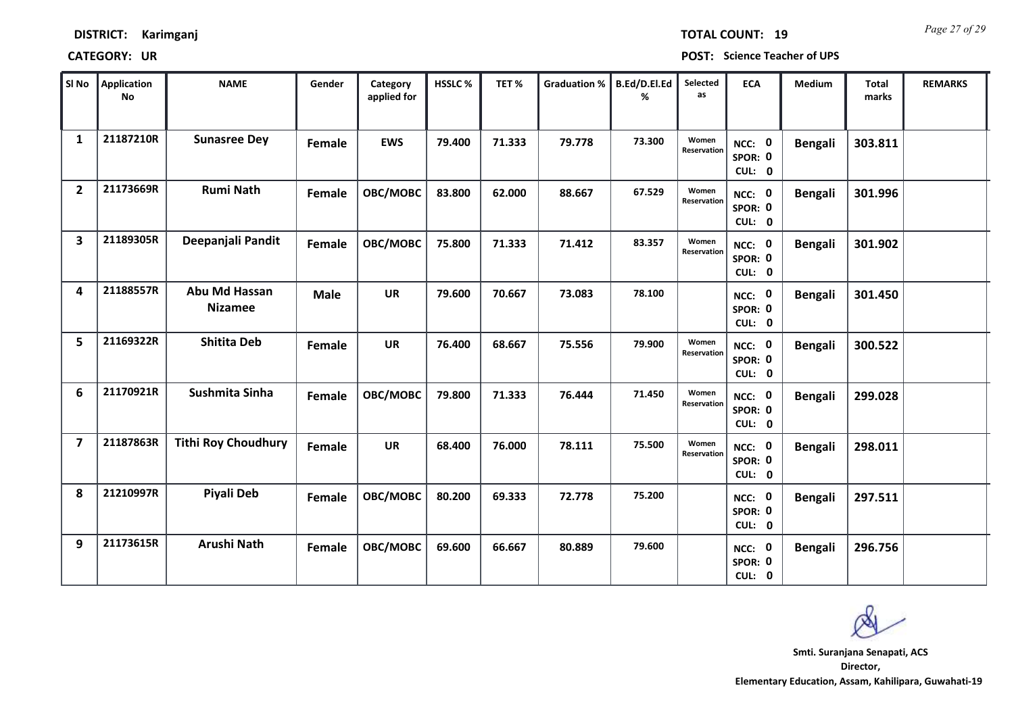| SI No                   | <b>Application</b><br><b>No</b> | <b>NAME</b>                     | Gender      | Category<br>applied for | HSSLC% | TET%   | <b>Graduation %</b> | B.Ed/D.El.Ed<br>% | Selected<br>as       | <b>ECA</b>                         | Medium         | <b>Total</b><br>marks | <b>REMARKS</b> |
|-------------------------|---------------------------------|---------------------------------|-------------|-------------------------|--------|--------|---------------------|-------------------|----------------------|------------------------------------|----------------|-----------------------|----------------|
| 1                       | 21187210R                       | <b>Sunasree Dey</b>             | Female      | <b>EWS</b>              | 79.400 | 71.333 | 79.778              | 73.300            | Women<br>Reservation | NCC: 0<br>SPOR: 0<br>CUL: 0        | <b>Bengali</b> | 303.811               |                |
| $\overline{2}$          | 21173669R                       | <b>Rumi Nath</b>                | Female      | OBC/MOBC                | 83.800 | 62.000 | 88.667              | 67.529            | Women<br>Reservation | NCC: 0<br>SPOR: 0<br>CUL: 0        | <b>Bengali</b> | 301.996               |                |
| $\overline{\mathbf{3}}$ | 21189305R                       | Deepanjali Pandit               | Female      | OBC/MOBC                | 75.800 | 71.333 | 71.412              | 83.357            | Women<br>Reservation | NCC: 0<br>SPOR: 0<br>CUL: 0        | <b>Bengali</b> | 301.902               |                |
| 4                       | 21188557R                       | Abu Md Hassan<br><b>Nizamee</b> | <b>Male</b> | <b>UR</b>               | 79.600 | 70.667 | 73.083              | 78.100            |                      | NCC: 0<br>SPOR: 0<br>CUL: 0        | <b>Bengali</b> | 301.450               |                |
| 5                       | 21169322R                       | <b>Shitita Deb</b>              | Female      | <b>UR</b>               | 76.400 | 68.667 | 75.556              | 79.900            | Women<br>Reservation | NCC: 0<br>SPOR: 0<br>CUL: 0        | <b>Bengali</b> | 300.522               |                |
| 6                       | 21170921R                       | Sushmita Sinha                  | Female      | OBC/MOBC                | 79.800 | 71.333 | 76.444              | 71.450            | Women<br>Reservation | NCC: 0<br>SPOR: 0<br>CUL: 0        | <b>Bengali</b> | 299.028               |                |
| $\overline{7}$          | 21187863R                       | <b>Tithi Roy Choudhury</b>      | Female      | <b>UR</b>               | 68.400 | 76.000 | 78.111              | 75.500            | Women<br>Reservation | NCC: 0<br>SPOR: 0<br>CUL: 0        | <b>Bengali</b> | 298.011               |                |
| 8                       | 21210997R                       | <b>Piyali Deb</b>               | Female      | OBC/MOBC                | 80.200 | 69.333 | 72.778              | 75.200            |                      | <b>NCC: 0</b><br>SPOR: 0<br>CUL: 0 | <b>Bengali</b> | 297.511               |                |
| 9                       | 21173615R                       | Arushi Nath                     | Female      | OBC/MOBC                | 69.600 | 66.667 | 80.889              | 79.600            |                      | <b>NCC: 0</b><br>SPOR: 0<br>CUL: 0 | <b>Bengali</b> | 296.756               |                |

**Director, Elementary Education, Assam, Kahilipara, Guwahati-19 Smti. Suranjana Senapati, ACS**

**DISTRICT: Karimganj**

## **CATEGORY: UR POST: Science Teacher of UPS**

*Page 27 of 29* **TOTAL COUNT: 19**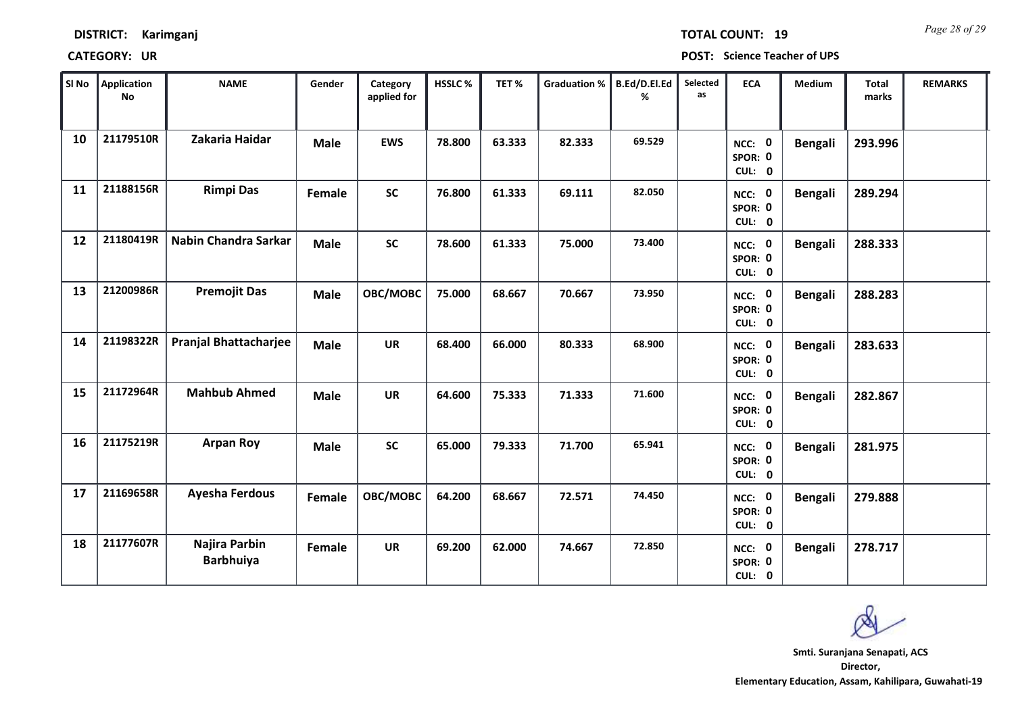| SI No | Application<br>No | <b>NAME</b>                       | Gender      | Category<br>applied for | HSSLC% | TET%   | <b>Graduation %</b> | B.Ed/D.El.Ed<br>% | Selected<br>as | <b>ECA</b>                         | Medium         | <b>Total</b><br>marks | <b>REMARKS</b> |
|-------|-------------------|-----------------------------------|-------------|-------------------------|--------|--------|---------------------|-------------------|----------------|------------------------------------|----------------|-----------------------|----------------|
| 10    | 21179510R         | Zakaria Haidar                    | <b>Male</b> | <b>EWS</b>              | 78.800 | 63.333 | 82.333              | 69.529            |                | NCC: 0<br>SPOR: 0<br>CUL: 0        | <b>Bengali</b> | 293.996               |                |
| 11    | 21188156R         | <b>Rimpi Das</b>                  | Female      | <b>SC</b>               | 76.800 | 61.333 | 69.111              | 82.050            |                | NCC: 0<br>SPOR: 0<br>CUL: 0        | <b>Bengali</b> | 289.294               |                |
| 12    | 21180419R         | Nabin Chandra Sarkar              | <b>Male</b> | <b>SC</b>               | 78.600 | 61.333 | 75.000              | 73.400            |                | NCC: 0<br>SPOR: 0<br>CUL: 0        | <b>Bengali</b> | 288.333               |                |
| 13    | 21200986R         | <b>Premojit Das</b>               | <b>Male</b> | OBC/MOBC                | 75.000 | 68.667 | 70.667              | 73.950            |                | NCC: 0<br>SPOR: 0<br>CUL: 0        | <b>Bengali</b> | 288.283               |                |
| 14    | 21198322R         | <b>Pranjal Bhattacharjee</b>      | <b>Male</b> | <b>UR</b>               | 68.400 | 66.000 | 80.333              | 68.900            |                | NCC: 0<br>SPOR: 0<br>CUL: 0        | <b>Bengali</b> | 283.633               |                |
| 15    | 21172964R         | <b>Mahbub Ahmed</b>               | <b>Male</b> | <b>UR</b>               | 64.600 | 75.333 | 71.333              | 71.600            |                | NCC: 0<br>SPOR: 0<br>CUL: 0        | <b>Bengali</b> | 282.867               |                |
| 16    | 21175219R         | <b>Arpan Roy</b>                  | <b>Male</b> | <b>SC</b>               | 65.000 | 79.333 | 71.700              | 65.941            |                | NCC: 0<br>SPOR: 0<br>CUL: 0        | <b>Bengali</b> | 281.975               |                |
| 17    | 21169658R         | <b>Ayesha Ferdous</b>             | Female      | OBC/MOBC                | 64.200 | 68.667 | 72.571              | 74.450            |                | <b>NCC: 0</b><br>SPOR: 0<br>CUL: 0 | <b>Bengali</b> | 279.888               |                |
| 18    | 21177607R         | Najira Parbin<br><b>Barbhuiya</b> | Female      | <b>UR</b>               | 69.200 | 62.000 | 74.667              | 72.850            |                | <b>NCC: 0</b><br>SPOR: 0<br>CUL: 0 | <b>Bengali</b> | 278.717               |                |

**Director, Elementary Education, Assam, Kahilipara, Guwahati-19 Smti. Suranjana Senapati, ACS**

*Page 28 of 29* **TOTAL COUNT: 19**

**DISTRICT: Karimganj**

### **CATEGORY: UR POST: Science Teacher of UPS**